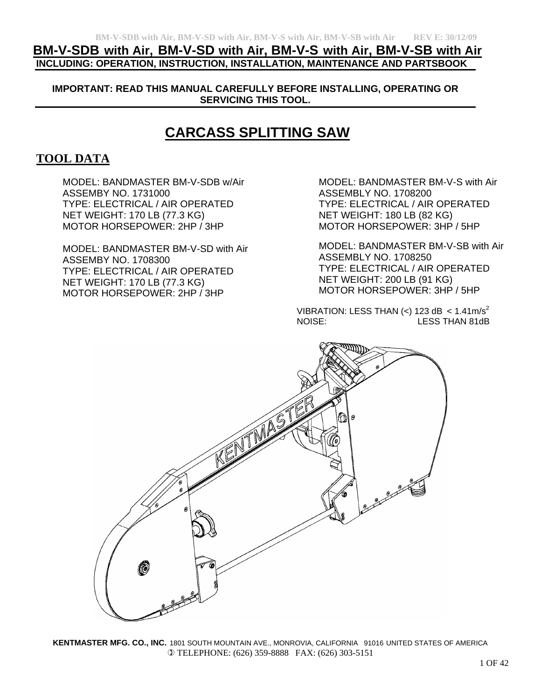# **BM-V-SDB with Air, BM-V-SD with Air, BM-V-S with Air, BM-V-SB with Air INCLUDING: OPERATION, INSTRUCTION, INSTALLATION, MAINTENANCE AND PARTSBOOK**

**IMPORTANT: READ THIS MANUAL CAREFULLY BEFORE INSTALLING, OPERATING OR SERVICING THIS TOOL.** 

# **CARCASS SPLITTING SAW**

# **TOOL DATA**

MODEL: BANDMASTER BM-V-SDB w/Air ASSEMBY NO. 1731000 TYPE: ELECTRICAL / AIR OPERATED NET WEIGHT: 170 LB (77.3 KG) MOTOR HORSEPOWER: 2HP / 3HP

MODEL: BANDMASTER BM-V-SD with Air ASSEMBY NO. 1708300 TYPE: ELECTRICAL / AIR OPERATED NET WEIGHT: 170 LB (77.3 KG) MOTOR HORSEPOWER: 2HP / 3HP

MODEL: BANDMASTER BM-V-S with Air ASSEMBLY NO. 1708200 TYPE: ELECTRICAL / AIR OPERATED NET WEIGHT: 180 LB (82 KG) MOTOR HORSEPOWER: 3HP / 5HP

MODEL: BANDMASTER BM-V-SB with Air ASSEMBLY NO. 1708250 TYPE: ELECTRICAL / AIR OPERATED NET WEIGHT: 200 LB (91 KG) MOTOR HORSEPOWER: 3HP / 5HP

VIBRATION: LESS THAN  $\left\langle \epsilon \right\rangle$  123 dB  $\epsilon$  1.41m/s<sup>2</sup> NOISE: LESS THAN 81dB

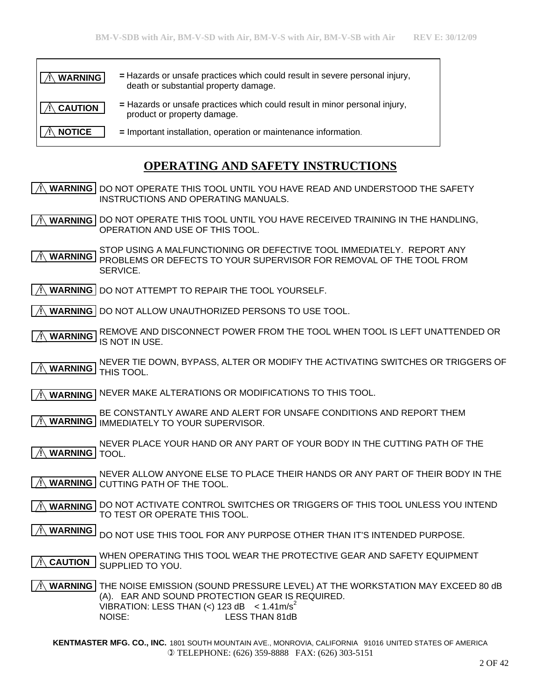| <b>WARNING</b> | = Hazards or unsafe practices which could result in severe personal injury,<br>death or substantial property damage. |
|----------------|----------------------------------------------------------------------------------------------------------------------|
| CAUTION        | = Hazards or unsafe practices which could result in minor personal injury,<br>product or property damage.            |
| <b>NOTICE</b>  | = Important installation, operation or maintenance information.                                                      |

# **OPERATING AND SAFETY INSTRUCTIONS**

 $\Lambda$  **WARNING** DO NOT OPERATE THIS TOOL UNTIL YOU HAVE READ AND UNDERSTOOD THE SAFETY INSTRUCTIONS AND OPERATING MANUALS.

 $\wedge$  **WARNING** OO NOT OPERATE THIS TOOL UNTIL YOU HAVE RECEIVED TRAINING IN THE HANDLING, OPERATION AND USE OF THIS TOOL.

STOP USING A MALFUNCTIONING OR DEFECTIVE TOOL IMMEDIATELY. REPORT ANY PROBLEMS OR DEFECTS TO YOUR SUPERVISOR FOR REMOVAL OF THE TOOL FROM SERVICE.  **! WARNING**

 $\mathbb{R}$  **WARNING** DO NOT ATTEMPT TO REPAIR THE TOOL YOURSELF.

 $\Lambda$  **WARNING** | DO NOT ALLOW UNAUTHORIZED PERSONS TO USE TOOL.

REMOVE AND DISCONNECT POWER FROM THE TOOL WHEN TOOL IS LEFT UNATTENDED OR IS NOT IN USE.  **! WARNING**

NEVER TIE DOWN, BYPASS, ALTER OR MODIFY THE ACTIVATING SWITCHES OR TRIGGERS OF **MARNING** THIS TOOL.

 $\mathcal{A}\setminus\mathcal{B}$  warning Never Make alterations or modifications to this tool.

BE CONSTANTLY AWARE AND ALERT FOR UNSAFE CONDITIONS AND REPORT THEM **IMMEDIATELY TO YOUR SUPERVISOR.** 

NEVER PLACE YOUR HAND OR ANY PART OF YOUR BODY IN THE CUTTING PATH OF THE **A WARNING** TOOL.

NEVER ALLOW ANYONE ELSE TO PLACE THEIR HANDS OR ANY PART OF THEIR BODY IN THE **A WARNING** CUTTING PATH OF THE TOOL.

A **WARNING** DO NOT ACTIVATE CONTROL SWITCHES OR TRIGGERS OF THIS TOOL UNLESS YOU INTEND TO TEST OR OPERATE THIS TOOL.

DO NOT USE THIS TOOL FOR ANY PURPOSE OTHER THAN IT'S INTENDED PURPOSE.  **! WARNING**

WHEN OPERATING THIS TOOL WEAR THE PROTECTIVE GEAR AND SAFETY EQUIPMENT SUPPLIED TO YOU.  **! CAUTION**

 $\Lambda$  **WARNING THE NOISE EMISSION (SOUND PRESSURE LEVEL) AT THE WORKSTATION MAY EXCEED 80 dB** (A). EAR AND SOUND PROTECTION GEAR IS REQUIRED. VIBRATION: LESS THAN  $(<)$  123 dB  $<$  1.41m/s<sup>2</sup> NOISE: LESS THAN 81dB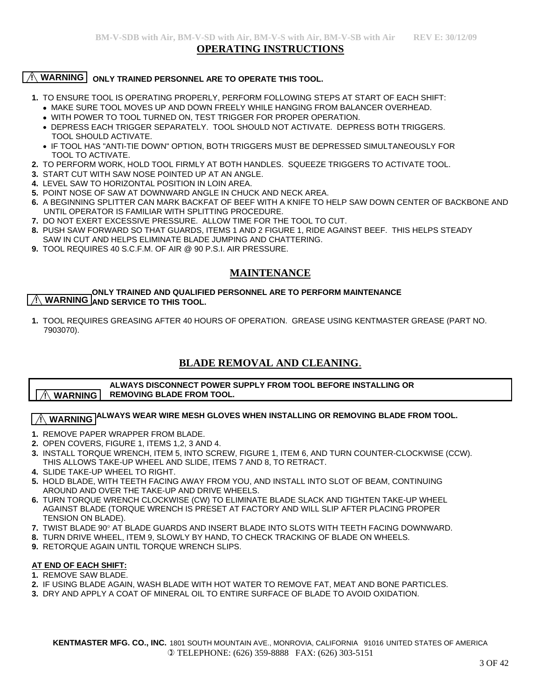#### **OPERATING INSTRUCTIONS**

#### **WARNING** ONLY TRAINED PERSONNEL ARE TO OPERATE THIS TOOL.

- **1.** TO ENSURE TOOL IS OPERATING PROPERLY, PERFORM FOLLOWING STEPS AT START OF EACH SHIFT:
	- •MAKE SURE TOOL MOVES UP AND DOWN FREELY WHILE HANGING FROM BALANCER OVERHEAD.
	- •WITH POWER TO TOOL TURNED ON, TEST TRIGGER FOR PROPER OPERATION.
	- DEPRESS EACH TRIGGER SEPARATELY. TOOL SHOULD NOT ACTIVATE. DEPRESS BOTH TRIGGERS. TOOL SHOULD ACTIVATE.
	- IF TOOL HAS "ANTI-TIE DOWN" OPTION, BOTH TRIGGERS MUST BE DEPRESSED SIMULTANEOUSLY FOR TOOL TO ACTIVATE.
- **2.** TO PERFORM WORK, HOLD TOOL FIRMLY AT BOTH HANDLES. SQUEEZE TRIGGERS TO ACTIVATE TOOL.
- **3.** START CUT WITH SAW NOSE POINTED UP AT AN ANGLE.
- **4.** LEVEL SAW TO HORIZONTAL POSITION IN LOIN AREA.
- **5.** POINT NOSE OF SAW AT DOWNWARD ANGLE IN CHUCK AND NECK AREA.
- **6.** A BEGINNING SPLITTER CAN MARK BACKFAT OF BEEF WITH A KNIFE TO HELP SAW DOWN CENTER OF BACKBONE AND UNTIL OPERATOR IS FAMILIAR WITH SPLITTING PROCEDURE.
- **7.** DO NOT EXERT EXCESSIVE PRESSURE. ALLOW TIME FOR THE TOOL TO CUT.
- **8.** PUSH SAW FORWARD SO THAT GUARDS, ITEMS 1 AND 2 FIGURE 1, RIDE AGAINST BEEF. THIS HELPS STEADY SAW IN CUT AND HELPS ELIMINATE BLADE JUMPING AND CHATTERING.
- **9.** TOOL REQUIRES 40 S.C.F.M. OF AIR @ 90 P.S.I. AIR PRESSURE.

## **MAINTENANCE**

#### **ONLY TRAINED AND QUALIFIED PERSONNEL ARE TO PERFORM MAINTENANCE AND SERVICE TO THIS TOOL.**

**1.** TOOL REQUIRES GREASING AFTER 40 HOURS OF OPERATION. GREASE USING KENTMASTER GREASE (PART NO. 7903070).

## **BLADE REMOVAL AND CLEANING**.

#### **ALWAYS DISCONNECT POWER SUPPLY FROM TOOL BEFORE INSTALLING OR REMOVING BLADE FROM TOOL. ! WARNING**

# $\overline{\mathcal{A}}$  WARNING  $\overline{\mathsf{ALW}}$ AYS WEAR WIRE MESH GLOVES WHEN INSTALLING OR REMOVING BLADE FROM TOOL.

- **1.** REMOVE PAPER WRAPPER FROM BLADE.
- **2.** OPEN COVERS, FIGURE 1, ITEMS 1,2, 3 AND 4.
- **3.** INSTALL TORQUE WRENCH, ITEM 5, INTO SCREW, FIGURE 1, ITEM 6, AND TURN COUNTER-CLOCKWISE (CCW). THIS ALLOWS TAKE-UP WHEEL AND SLIDE, ITEMS 7 AND 8, TO RETRACT.
- **4.** SLIDE TAKE-UP WHEEL TO RIGHT.
- **5.** HOLD BLADE, WITH TEETH FACING AWAY FROM YOU, AND INSTALL INTO SLOT OF BEAM, CONTINUING AROUND AND OVER THE TAKE-UP AND DRIVE WHEELS.
- **6.** TURN TORQUE WRENCH CLOCKWISE (CW) TO ELIMINATE BLADE SLACK AND TIGHTEN TAKE-UP WHEEL AGAINST BLADE (TORQUE WRENCH IS PRESET AT FACTORY AND WILL SLIP AFTER PLACING PROPER TENSION ON BLADE).
- **7.** TWIST BLADE 90° AT BLADE GUARDS AND INSERT BLADE INTO SLOTS WITH TEETH FACING DOWNWARD.
- **8.** TURN DRIVE WHEEL, ITEM 9, SLOWLY BY HAND, TO CHECK TRACKING OF BLADE ON WHEELS.
- **9.** RETORQUE AGAIN UNTIL TORQUE WRENCH SLIPS.

#### **AT END OF EACH SHIFT:**

- **1.** REMOVE SAW BLADE.
- **2.** IF USING BLADE AGAIN, WASH BLADE WITH HOT WATER TO REMOVE FAT, MEAT AND BONE PARTICLES.
- **3.** DRY AND APPLY A COAT OF MINERAL OIL TO ENTIRE SURFACE OF BLADE TO AVOID OXIDATION.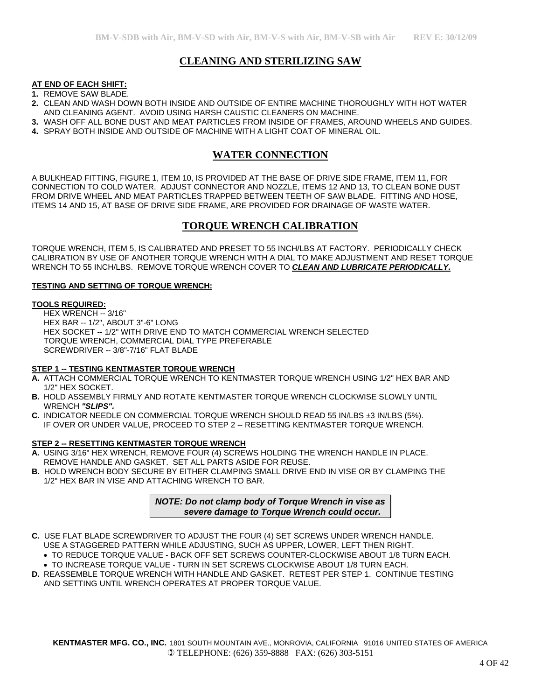## **CLEANING AND STERILIZING SAW**

#### **AT END OF EACH SHIFT:**

- **1.** REMOVE SAW BLADE.
- **2.** CLEAN AND WASH DOWN BOTH INSIDE AND OUTSIDE OF ENTIRE MACHINE THOROUGHLY WITH HOT WATER AND CLEANING AGENT. AVOID USING HARSH CAUSTIC CLEANERS ON MACHINE.
- **3.** WASH OFF ALL BONE DUST AND MEAT PARTICLES FROM INSIDE OF FRAMES, AROUND WHEELS AND GUIDES.
- **4.** SPRAY BOTH INSIDE AND OUTSIDE OF MACHINE WITH A LIGHT COAT OF MINERAL OIL.

## **WATER CONNECTION**

A BULKHEAD FITTING, FIGURE 1, ITEM 10, IS PROVIDED AT THE BASE OF DRIVE SIDE FRAME, ITEM 11, FOR CONNECTION TO COLD WATER. ADJUST CONNECTOR AND NOZZLE, ITEMS 12 AND 13, TO CLEAN BONE DUST FROM DRIVE WHEEL AND MEAT PARTICLES TRAPPED BETWEEN TEETH OF SAW BLADE. FITTING AND HOSE, ITEMS 14 AND 15, AT BASE OF DRIVE SIDE FRAME, ARE PROVIDED FOR DRAINAGE OF WASTE WATER.

## **TORQUE WRENCH CALIBRATION**

TORQUE WRENCH, ITEM 5, IS CALIBRATED AND PRESET TO 55 INCH/LBS AT FACTORY. PERIODICALLY CHECK CALIBRATION BY USE OF ANOTHER TORQUE WRENCH WITH A DIAL TO MAKE ADJUSTMENT AND RESET TORQUE WRENCH TO 55 INCH/LBS. REMOVE TORQUE WRENCH COVER TO *CLEAN AND LUBRICATE PERIODICALLY.*

#### **TESTING AND SETTING OF TORQUE WRENCH:**

#### **TOOLS REQUIRED:**

 HEX WRENCH -- 3/16" HEX BAR -- 1/2", ABOUT 3"-6" LONG HEX SOCKET -- 1/2" WITH DRIVE END TO MATCH COMMERCIAL WRENCH SELECTED TORQUE WRENCH, COMMERCIAL DIAL TYPE PREFERABLE SCREWDRIVER -- 3/8"-7/16" FLAT BLADE

#### **STEP 1 -- TESTING KENTMASTER TORQUE WRENCH**

- **A.** ATTACH COMMERCIAL TORQUE WRENCH TO KENTMASTER TORQUE WRENCH USING 1/2" HEX BAR AND 1/2" HEX SOCKET.
- **B.** HOLD ASSEMBLY FIRMLY AND ROTATE KENTMASTER TORQUE WRENCH CLOCKWISE SLOWLY UNTIL WRENCH *"SLIPS".*
- **C.** INDICATOR NEEDLE ON COMMERCIAL TORQUE WRENCH SHOULD READ 55 IN/LBS ±3 IN/LBS (5%). IF OVER OR UNDER VALUE, PROCEED TO STEP 2 -- RESETTING KENTMASTER TORQUE WRENCH.

#### **STEP 2 -- RESETTING KENTMASTER TORQUE WRENCH**

- **A.** USING 3/16" HEX WRENCH, REMOVE FOUR (4) SCREWS HOLDING THE WRENCH HANDLE IN PLACE. REMOVE HANDLE AND GASKET. SET ALL PARTS ASIDE FOR REUSE.
- **B.** HOLD WRENCH BODY SECURE BY EITHER CLAMPING SMALL DRIVE END IN VISE OR BY CLAMPING THE 1/2" HEX BAR IN VISE AND ATTACHING WRENCH TO BAR.

*NOTE: Do not clamp body of Torque Wrench in vise as severe damage to Torque Wrench could occur.*

- **C.** USE FLAT BLADE SCREWDRIVER TO ADJUST THE FOUR (4) SET SCREWS UNDER WRENCH HANDLE. USE A STAGGERED PATTERN WHILE ADJUSTING, SUCH AS UPPER, LOWER, LEFT THEN RIGHT.
	- TO REDUCE TORQUE VALUE BACK OFF SET SCREWS COUNTER-CLOCKWISE ABOUT 1/8 TURN EACH.
	- TO INCREASE TORQUE VALUE TURN IN SET SCREWS CLOCKWISE ABOUT 1/8 TURN EACH.
- **D.** REASSEMBLE TORQUE WRENCH WITH HANDLE AND GASKET. RETEST PER STEP 1. CONTINUE TESTING AND SETTING UNTIL WRENCH OPERATES AT PROPER TORQUE VALUE.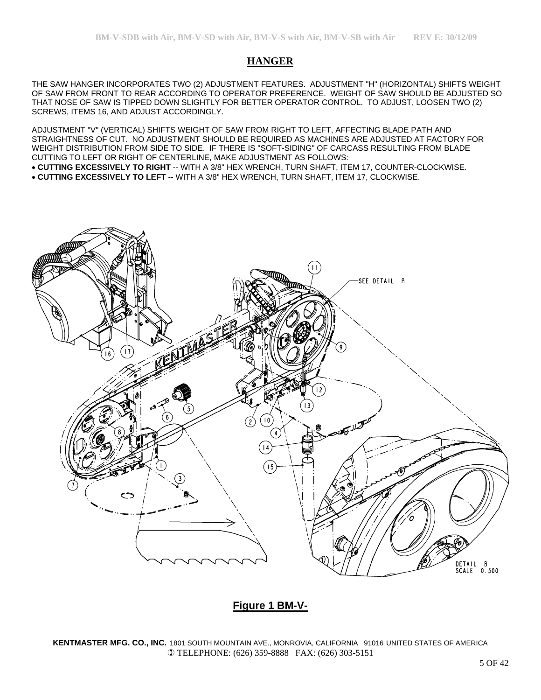## **HANGER**

THE SAW HANGER INCORPORATES TWO (2) ADJUSTMENT FEATURES. ADJUSTMENT "H" (HORIZONTAL) SHIFTS WEIGHT OF SAW FROM FRONT TO REAR ACCORDING TO OPERATOR PREFERENCE. WEIGHT OF SAW SHOULD BE ADJUSTED SO THAT NOSE OF SAW IS TIPPED DOWN SLIGHTLY FOR BETTER OPERATOR CONTROL. TO ADJUST, LOOSEN TWO (2) SCREWS, ITEMS 16, AND ADJUST ACCORDINGLY.

ADJUSTMENT "V" (VERTICAL) SHIFTS WEIGHT OF SAW FROM RIGHT TO LEFT, AFFECTING BLADE PATH AND STRAIGHTNESS OF CUT. NO ADJUSTMENT SHOULD BE REQUIRED AS MACHINES ARE ADJUSTED AT FACTORY FOR WEIGHT DISTRIBUTION FROM SIDE TO SIDE. IF THERE IS "SOFT-SIDING" OF CARCASS RESULTING FROM BLADE CUTTING TO LEFT OR RIGHT OF CENTERLINE, MAKE ADJUSTMENT AS FOLLOWS:

• **CUTTING EXCESSIVELY TO RIGHT** -- WITH A 3/8" HEX WRENCH, TURN SHAFT, ITEM 17, COUNTER-CLOCKWISE.

• **CUTTING EXCESSIVELY TO LEFT** -- WITH A 3/8" HEX WRENCH, TURN SHAFT, ITEM 17, CLOCKWISE.



## **Figure 1 BM-V-**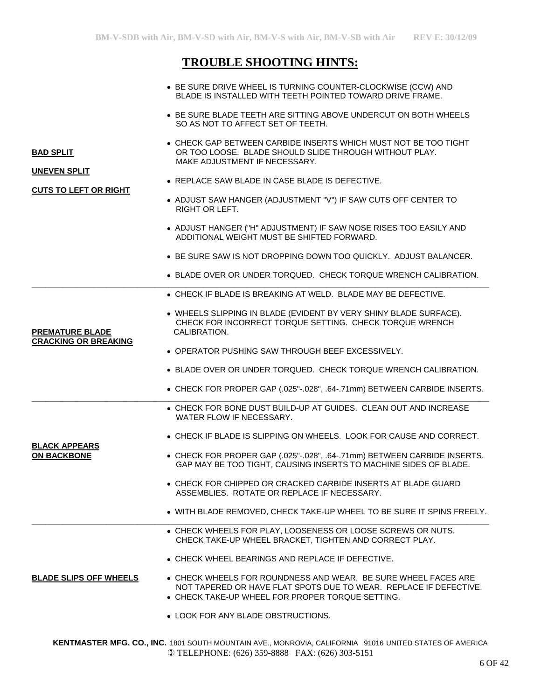# **TROUBLE SHOOTING HINTS:**

|                                         | • BE SURE DRIVE WHEEL IS TURNING COUNTER-CLOCKWISE (CCW) AND<br>BLADE IS INSTALLED WITH TEETH POINTED TOWARD DRIVE FRAME.                                                                       |
|-----------------------------------------|-------------------------------------------------------------------------------------------------------------------------------------------------------------------------------------------------|
|                                         | • BE SURE BLADE TEETH ARE SITTING ABOVE UNDERCUT ON BOTH WHEELS<br>SO AS NOT TO AFFECT SET OF TEETH.                                                                                            |
| <b>BAD SPLIT</b><br><b>UNEVEN SPLIT</b> | • CHECK GAP BETWEEN CARBIDE INSERTS WHICH MUST NOT BE TOO TIGHT<br>OR TOO LOOSE. BLADE SHOULD SLIDE THROUGH WITHOUT PLAY.<br>MAKE ADJUSTMENT IF NECESSARY.                                      |
|                                         | • REPLACE SAW BLADE IN CASE BLADE IS DEFECTIVE.                                                                                                                                                 |
| <b>CUTS TO LEFT OR RIGHT</b>            | • ADJUST SAW HANGER (ADJUSTMENT "V") IF SAW CUTS OFF CENTER TO<br><b>RIGHT OR LEFT.</b>                                                                                                         |
|                                         | • ADJUST HANGER ("H" ADJUSTMENT) IF SAW NOSE RISES TOO EASILY AND<br>ADDITIONAL WEIGHT MUST BE SHIFTED FORWARD.                                                                                 |
|                                         | • BE SURE SAW IS NOT DROPPING DOWN TOO QUICKLY. ADJUST BALANCER.                                                                                                                                |
|                                         | • BLADE OVER OR UNDER TORQUED. CHECK TORQUE WRENCH CALIBRATION.                                                                                                                                 |
|                                         | • CHECK IF BLADE IS BREAKING AT WELD. BLADE MAY BE DEFECTIVE.                                                                                                                                   |
| <b>PREMATURE BLADE</b>                  | . WHEELS SLIPPING IN BLADE (EVIDENT BY VERY SHINY BLADE SURFACE).<br>CHECK FOR INCORRECT TORQUE SETTING. CHECK TORQUE WRENCH<br>CALIBRATION.                                                    |
| <b>CRACKING OR BREAKING</b>             | • OPERATOR PUSHING SAW THROUGH BEEF EXCESSIVELY.                                                                                                                                                |
|                                         | • BLADE OVER OR UNDER TORQUED. CHECK TORQUE WRENCH CALIBRATION.                                                                                                                                 |
|                                         | • CHECK FOR PROPER GAP (.025"-.028", .64-.71mm) BETWEEN CARBIDE INSERTS.                                                                                                                        |
|                                         | • CHECK FOR BONE DUST BUILD-UP AT GUIDES. CLEAN OUT AND INCREASE<br>WATER FLOW IF NECESSARY.                                                                                                    |
| <b>BLACK APPEARS</b>                    | • CHECK IF BLADE IS SLIPPING ON WHEELS. LOOK FOR CAUSE AND CORRECT.                                                                                                                             |
| <b>ON BACKBONE</b>                      | • CHECK FOR PROPER GAP (.025"-.028", .64-.71mm) BETWEEN CARBIDE INSERTS.<br>GAP MAY BE TOO TIGHT, CAUSING INSERTS TO MACHINE SIDES OF BLADE.                                                    |
|                                         | • CHECK FOR CHIPPED OR CRACKED CARBIDE INSERTS AT BLADE GUARD<br>ASSEMBLIES. ROTATE OR REPLACE IF NECESSARY.                                                                                    |
|                                         | . WITH BLADE REMOVED, CHECK TAKE-UP WHEEL TO BE SURE IT SPINS FREELY.                                                                                                                           |
|                                         | • CHECK WHEELS FOR PLAY, LOOSENESS OR LOOSE SCREWS OR NUTS.<br>CHECK TAKE-UP WHEEL BRACKET, TIGHTEN AND CORRECT PLAY.                                                                           |
|                                         | • CHECK WHEEL BEARINGS AND REPLACE IF DEFECTIVE.                                                                                                                                                |
| <b>BLADE SLIPS OFF WHEELS</b>           | $\bullet$ CHECK WHEELS FOR ROUNDNESS AND WEAR. BE SURE WHEEL FACES ARE<br>NOT TAPERED OR HAVE FLAT SPOTS DUE TO WEAR. REPLACE IF DEFECTIVE.<br>• CHECK TAKE-UP WHEEL FOR PROPER TORQUE SETTING. |
|                                         | • LOOK FOR ANY BLADE OBSTRUCTIONS.                                                                                                                                                              |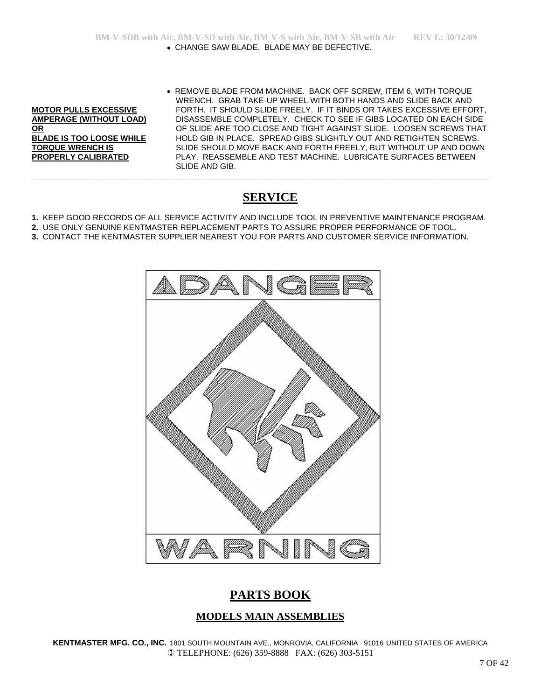• REMOVE BLADE FROM MACHINE. BACK OFF SCREW, ITEM 6, WITH TORQUE WRENCH. GRAB TAKE-UP WHEEL WITH BOTH HANDS AND SLIDE BACK AND **MOTOR PULLS EXCESSIVE** FORTH. IT SHOULD SLIDE FREELY. IF IT BINDS OR TAKES EXCESSIVE EFFORT, **AMPERAGE (WITHOUT LOAD)** DISASSEMBLE COMPLETELY. CHECK TO SEE IF GIBS LOCATED ON EACH SIDE **OR** OF SLIDE ARE TOO CLOSE AND TIGHT AGAINST SLIDE. LOOSEN SCREWS THAT **BLADE IS TOO LOOSE WHILE** HOLD GIB IN PLACE. SPREAD GIBS SLIGHTLY OUT AND RETIGHTEN SCREWS. **TORQUE WRENCH IS** SLIDE SHOULD MOVE BACK AND FORTH FREELY, BUT WITHOUT UP AND DOWN PLAY. REASSEMBLE AND TEST MACHINE. LUBRICATE SURFACES BETWEEN SLIDE AND GIB.

# **SERVICE**

**1.** KEEP GOOD RECORDS OF ALL SERVICE ACTIVITY AND INCLUDE TOOL IN PREVENTIVE MAINTENANCE PROGRAM.

**\_\_\_\_\_\_\_\_\_\_\_\_\_\_\_\_\_\_\_\_\_\_\_\_\_\_\_\_\_\_\_\_\_\_\_\_\_\_\_\_\_\_\_\_\_\_\_\_\_\_\_\_\_\_\_\_\_\_\_\_\_\_\_\_\_\_\_\_\_\_\_\_\_\_\_\_\_\_\_\_\_\_\_\_\_\_\_\_\_\_\_\_\_\_\_\_\_\_\_\_\_\_\_\_**

- **2.** USE ONLY GENUINE KENTMASTER REPLACEMENT PARTS TO ASSURE PROPER PERFORMANCE OF TOOL. **3.** CONTACT THE KENTMASTER SUPPLIER NEAREST YOU FOR PARTS AND CUSTOMER SERVICE INFORMATION.
- 



# **PARTS BOOK**

## **MODELS MAIN ASSEMBLIES**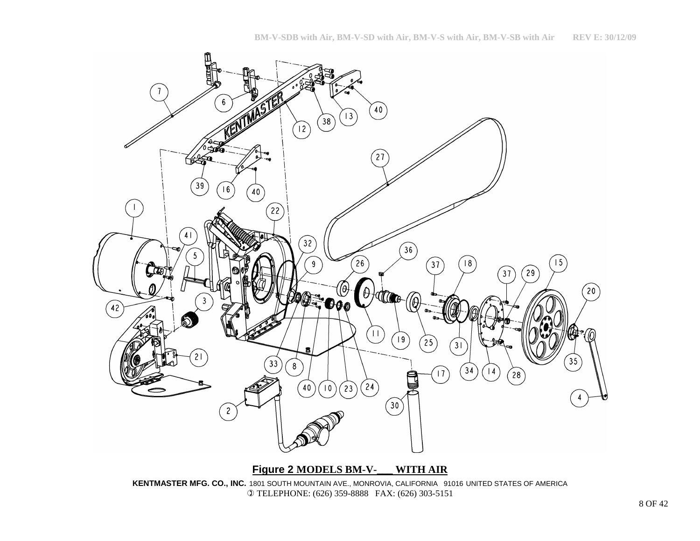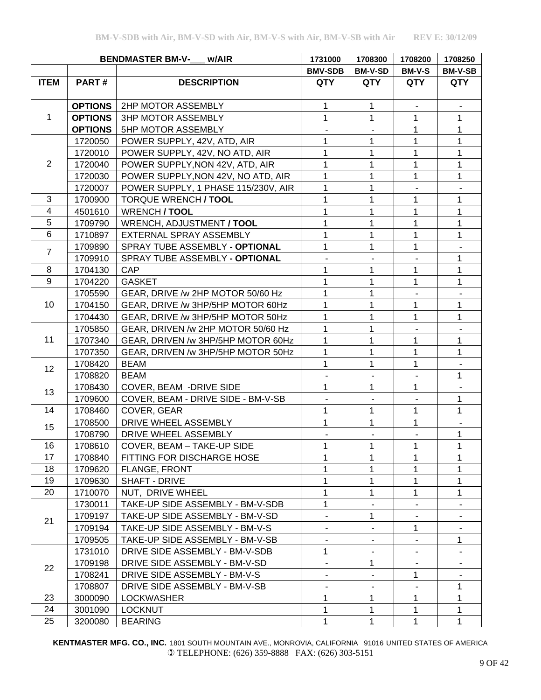|                |                                     | <b>BENDMASTER BM-V-</b><br>w/AIR    | 1708200<br>1731000<br>1708300                                                                                                                                                                                                                                                                                                                                                                                                                                                                                                                                                                                           |                | 1708250       |                |
|----------------|-------------------------------------|-------------------------------------|-------------------------------------------------------------------------------------------------------------------------------------------------------------------------------------------------------------------------------------------------------------------------------------------------------------------------------------------------------------------------------------------------------------------------------------------------------------------------------------------------------------------------------------------------------------------------------------------------------------------------|----------------|---------------|----------------|
|                |                                     |                                     | <b>BMV-SDB</b>                                                                                                                                                                                                                                                                                                                                                                                                                                                                                                                                                                                                          | <b>BM-V-SD</b> | <b>BM-V-S</b> | <b>BM-V-SB</b> |
| <b>ITEM</b>    | PART#                               | <b>DESCRIPTION</b>                  | <b>QTY</b>                                                                                                                                                                                                                                                                                                                                                                                                                                                                                                                                                                                                              | <b>QTY</b>     | QTY           | <b>QTY</b>     |
|                |                                     |                                     |                                                                                                                                                                                                                                                                                                                                                                                                                                                                                                                                                                                                                         |                |               |                |
|                | <b>OPTIONS</b>                      | 2HP MOTOR ASSEMBLY                  | 1                                                                                                                                                                                                                                                                                                                                                                                                                                                                                                                                                                                                                       | 1              |               |                |
| 1              | <b>OPTIONS</b>                      | <b>3HP MOTOR ASSEMBLY</b>           | 1                                                                                                                                                                                                                                                                                                                                                                                                                                                                                                                                                                                                                       | $\mathbf 1$    | 1             | 1              |
|                | <b>OPTIONS</b>                      | 5HP MOTOR ASSEMBLY                  | 1<br>1<br>1<br>1<br>1<br>1<br>1<br>1<br>$\mathbf{1}$<br>1<br>1<br>1<br>1<br>1<br>1<br>1<br>1<br>1<br>1<br>1<br>1<br>1<br>1<br>1<br>1<br>1<br>1<br>1<br>1<br>1<br>1<br>1<br>1<br>1<br>1<br>1<br>1<br>1<br>1<br>1<br>1<br>1<br>1<br>1<br>1<br>1<br>1<br>1<br>1<br>$\mathbf{1}$<br>1<br>1<br>1<br>1<br>$\mathbf{1}$<br>1<br>1<br>1<br>1<br>1<br>1<br>1<br>1<br>$\mathbf{1}$<br>1<br>$\mathbf{1}$<br>1<br>1<br>1<br>1<br>1<br>1<br>1<br>1<br>1<br>1<br>1<br>1<br>1<br>1<br>1<br>1<br>1<br>$\overline{\phantom{a}}$<br>1<br>$\frac{1}{2}$<br>$\overline{\phantom{a}}$<br>1<br>1<br>1<br>$\mathbf 1$<br>1<br>1<br>1<br>1<br>1 |                | 1             |                |
|                | 1720050                             | POWER SUPPLY, 42V, ATD, AIR         |                                                                                                                                                                                                                                                                                                                                                                                                                                                                                                                                                                                                                         |                |               | $\mathbf{1}$   |
|                | 1720010                             | POWER SUPPLY, 42V, NO ATD, AIR      |                                                                                                                                                                                                                                                                                                                                                                                                                                                                                                                                                                                                                         |                |               | 1              |
| $\overline{2}$ | 1720040                             | POWER SUPPLY, NON 42V, ATD, AIR     |                                                                                                                                                                                                                                                                                                                                                                                                                                                                                                                                                                                                                         |                |               | 1              |
|                | 1720030                             | POWER SUPPLY, NON 42V, NO ATD, AIR  |                                                                                                                                                                                                                                                                                                                                                                                                                                                                                                                                                                                                                         |                |               | $\mathbf{1}$   |
|                | 1720007                             | POWER SUPPLY, 1 PHASE 115/230V, AIR |                                                                                                                                                                                                                                                                                                                                                                                                                                                                                                                                                                                                                         |                |               |                |
| $\mathbf{3}$   | 1700900                             | <b>TORQUE WRENCH / TOOL</b>         |                                                                                                                                                                                                                                                                                                                                                                                                                                                                                                                                                                                                                         |                |               | 1              |
| $\overline{4}$ | 4501610                             | <b>WRENCH / TOOL</b>                |                                                                                                                                                                                                                                                                                                                                                                                                                                                                                                                                                                                                                         |                |               | 1              |
| 5              | 1709790                             | WRENCH, ADJUSTMENT / TOOL           |                                                                                                                                                                                                                                                                                                                                                                                                                                                                                                                                                                                                                         |                |               | 1              |
| $6\phantom{1}$ | 1710897                             | EXTERNAL SPRAY ASSEMBLY             |                                                                                                                                                                                                                                                                                                                                                                                                                                                                                                                                                                                                                         |                |               | $\mathbf{1}$   |
|                | 1709890                             | SPRAY TUBE ASSEMBLY - OPTIONAL      |                                                                                                                                                                                                                                                                                                                                                                                                                                                                                                                                                                                                                         |                |               |                |
| $\overline{7}$ | 1709910                             | SPRAY TUBE ASSEMBLY - OPTIONAL      |                                                                                                                                                                                                                                                                                                                                                                                                                                                                                                                                                                                                                         |                |               | 1              |
| 8              | 1704130                             | <b>CAP</b>                          |                                                                                                                                                                                                                                                                                                                                                                                                                                                                                                                                                                                                                         |                |               | 1              |
| 9              | 1704220                             | <b>GASKET</b>                       |                                                                                                                                                                                                                                                                                                                                                                                                                                                                                                                                                                                                                         |                |               | $\mathbf{1}$   |
|                | 1705590                             | GEAR, DRIVE /w 2HP MOTOR 50/60 Hz   |                                                                                                                                                                                                                                                                                                                                                                                                                                                                                                                                                                                                                         |                |               |                |
| 10             | 1704150                             | GEAR, DRIVE /w 3HP/5HP MOTOR 60Hz   |                                                                                                                                                                                                                                                                                                                                                                                                                                                                                                                                                                                                                         |                |               | 1              |
|                | 1704430<br>1705850<br>11<br>1707340 | GEAR, DRIVE /w 3HP/5HP MOTOR 50Hz   |                                                                                                                                                                                                                                                                                                                                                                                                                                                                                                                                                                                                                         |                |               | 1              |
|                |                                     | GEAR, DRIVEN /w 2HP MOTOR 50/60 Hz  |                                                                                                                                                                                                                                                                                                                                                                                                                                                                                                                                                                                                                         |                |               |                |
|                |                                     | GEAR, DRIVEN /w 3HP/5HP MOTOR 60Hz  |                                                                                                                                                                                                                                                                                                                                                                                                                                                                                                                                                                                                                         |                |               | 1              |
|                | 1707350                             | GEAR, DRIVEN /w 3HP/5HP MOTOR 50Hz  |                                                                                                                                                                                                                                                                                                                                                                                                                                                                                                                                                                                                                         |                |               | $\mathbf{1}$   |
|                | 1708420                             | <b>BEAM</b>                         |                                                                                                                                                                                                                                                                                                                                                                                                                                                                                                                                                                                                                         |                |               |                |
| 12             | 1708820                             | <b>BEAM</b>                         |                                                                                                                                                                                                                                                                                                                                                                                                                                                                                                                                                                                                                         |                |               | 1              |
|                | 1708430                             | COVER, BEAM -DRIVE SIDE             |                                                                                                                                                                                                                                                                                                                                                                                                                                                                                                                                                                                                                         |                |               |                |
| 13             | 1709600                             | COVER, BEAM - DRIVE SIDE - BM-V-SB  |                                                                                                                                                                                                                                                                                                                                                                                                                                                                                                                                                                                                                         |                |               | 1              |
| 14             | 1708460                             | COVER, GEAR                         |                                                                                                                                                                                                                                                                                                                                                                                                                                                                                                                                                                                                                         |                |               | 1              |
|                | 1708500                             | DRIVE WHEEL ASSEMBLY                |                                                                                                                                                                                                                                                                                                                                                                                                                                                                                                                                                                                                                         |                |               | $\blacksquare$ |
| 15             | 1708790                             | DRIVE WHEEL ASSEMBLY                |                                                                                                                                                                                                                                                                                                                                                                                                                                                                                                                                                                                                                         |                | $\mathbf{1}$  |                |
| 16             | 1708610                             | COVER, BEAM - TAKE-UP SIDE          |                                                                                                                                                                                                                                                                                                                                                                                                                                                                                                                                                                                                                         |                |               | 1              |
| 17             | 1708840                             | FITTING FOR DISCHARGE HOSE          |                                                                                                                                                                                                                                                                                                                                                                                                                                                                                                                                                                                                                         |                |               | 1              |
| 18             | 1709620                             | FLANGE, FRONT                       |                                                                                                                                                                                                                                                                                                                                                                                                                                                                                                                                                                                                                         |                |               | 1              |
| 19             | 1709630                             | SHAFT - DRIVE                       |                                                                                                                                                                                                                                                                                                                                                                                                                                                                                                                                                                                                                         |                |               | 1              |
| 20             | 1710070                             | NUT, DRIVE WHEEL                    |                                                                                                                                                                                                                                                                                                                                                                                                                                                                                                                                                                                                                         |                |               | 1              |
|                | 1730011                             | TAKE-UP SIDE ASSEMBLY - BM-V-SDB    |                                                                                                                                                                                                                                                                                                                                                                                                                                                                                                                                                                                                                         |                |               |                |
|                | 1709197                             | TAKE-UP SIDE ASSEMBLY - BM-V-SD     |                                                                                                                                                                                                                                                                                                                                                                                                                                                                                                                                                                                                                         |                |               |                |
| 21             | 1709194                             | TAKE-UP SIDE ASSEMBLY - BM-V-S      |                                                                                                                                                                                                                                                                                                                                                                                                                                                                                                                                                                                                                         |                |               |                |
|                | 1709505                             | TAKE-UP SIDE ASSEMBLY - BM-V-SB     |                                                                                                                                                                                                                                                                                                                                                                                                                                                                                                                                                                                                                         |                |               | 1              |
|                | 1731010                             | DRIVE SIDE ASSEMBLY - BM-V-SDB      |                                                                                                                                                                                                                                                                                                                                                                                                                                                                                                                                                                                                                         |                |               |                |
|                | 1709198                             | DRIVE SIDE ASSEMBLY - BM-V-SD       |                                                                                                                                                                                                                                                                                                                                                                                                                                                                                                                                                                                                                         |                |               |                |
| 22             | 1708241                             | DRIVE SIDE ASSEMBLY - BM-V-S        |                                                                                                                                                                                                                                                                                                                                                                                                                                                                                                                                                                                                                         |                |               |                |
|                | 1708807                             | DRIVE SIDE ASSEMBLY - BM-V-SB       |                                                                                                                                                                                                                                                                                                                                                                                                                                                                                                                                                                                                                         |                |               | 1              |
| 23             | 3000090                             | <b>LOCKWASHER</b>                   |                                                                                                                                                                                                                                                                                                                                                                                                                                                                                                                                                                                                                         |                |               | 1              |
| 24             | 3001090                             | <b>LOCKNUT</b>                      |                                                                                                                                                                                                                                                                                                                                                                                                                                                                                                                                                                                                                         |                |               | 1              |
| 25             | 3200080                             | <b>BEARING</b>                      |                                                                                                                                                                                                                                                                                                                                                                                                                                                                                                                                                                                                                         |                |               | 1              |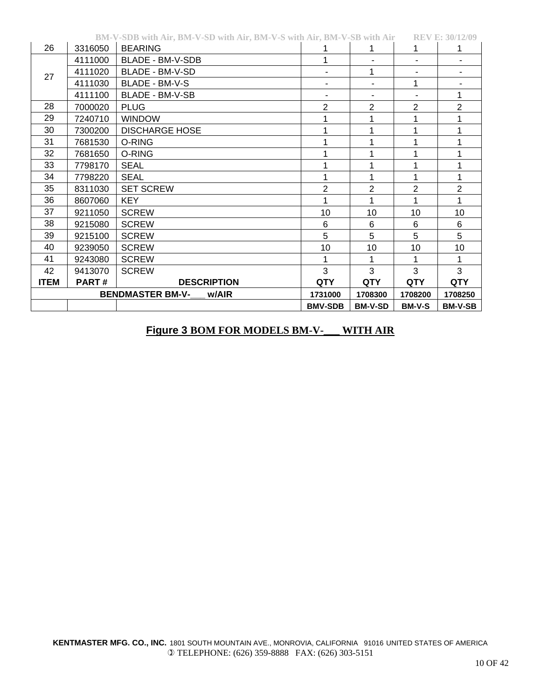|             |         | BM-V-SDB With Air, BM-V-SD With Air, BM-V-S With Air, BM-V-SB With Air |                |                |                | KEV E: 30/14/09 |
|-------------|---------|------------------------------------------------------------------------|----------------|----------------|----------------|-----------------|
| 26          | 3316050 | <b>BEARING</b>                                                         |                | 1              | 1              |                 |
|             | 4111000 | BLADE - BM-V-SDB                                                       |                |                |                | ۰               |
| 27          | 4111020 | BLADE - BM-V-SD                                                        |                | 1              | ۰              |                 |
|             | 4111030 | BLADE - BM-V-S                                                         |                |                | 1              | ۰               |
|             | 4111100 | BLADE - BM-V-SB                                                        |                |                |                | 1               |
| 28          | 7000020 | <b>PLUG</b>                                                            | $\overline{2}$ | $\overline{2}$ | $\overline{2}$ | $\overline{2}$  |
| 29          | 7240710 | <b>WINDOW</b>                                                          |                | 1              | 1              | 1               |
| 30          | 7300200 | <b>DISCHARGE HOSE</b>                                                  |                |                |                |                 |
| 31          | 7681530 | O-RING                                                                 |                | 1              | 1              |                 |
| 32          | 7681650 | O-RING                                                                 |                |                |                |                 |
| 33          | 7798170 | <b>SEAL</b>                                                            |                | 1              | 1              |                 |
| 34          | 7798220 | <b>SEAL</b>                                                            |                | 1              | 1              | 1               |
| 35          | 8311030 | <b>SET SCREW</b>                                                       | 2              | 2              | $\overline{2}$ | $\overline{2}$  |
| 36          | 8607060 | <b>KEY</b>                                                             |                | 1              | 1              | 1               |
| 37          | 9211050 | <b>SCREW</b>                                                           | 10             | 10             | 10             | 10              |
| 38          | 9215080 | <b>SCREW</b>                                                           | 6              | 6              | 6              | 6               |
| 39          | 9215100 | <b>SCREW</b>                                                           | 5              | 5              | 5              | 5               |
| 40          | 9239050 | <b>SCREW</b>                                                           | 10             | 10             | 10             | 10              |
| 41          | 9243080 | <b>SCREW</b>                                                           |                | 1              | 1              | 1               |
| 42          | 9413070 | <b>SCREW</b>                                                           | 3              | 3              | 3              | 3               |
| <b>ITEM</b> | PART#   | <b>DESCRIPTION</b>                                                     | <b>QTY</b>     | <b>QTY</b>     | <b>QTY</b>     | <b>QTY</b>      |
|             |         | <b>BENDMASTER BM-V-</b><br>w/AIR                                       | 1731000        | 1708300        | 1708200        | 1708250         |
|             |         |                                                                        | <b>BMV-SDB</b> | <b>BM-V-SD</b> | <b>BM-V-S</b>  | <b>BM-V-SB</b>  |

#### **BM-V-SDB with Air, BM-V-SD with Air, BM-V-S with Air, BM-V-SB with Air REV E: 30/12/09**

## **Figure 3 BOM FOR MODELS BM-V-\_\_\_ WITH AIR**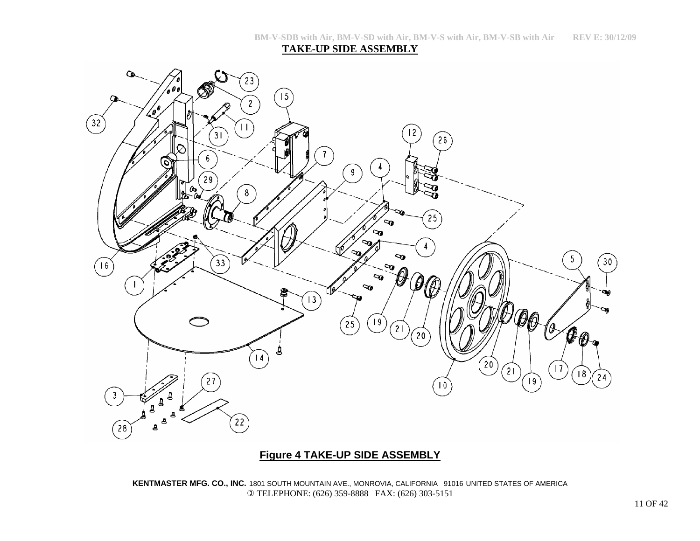**TAKE-UP SIDE ASSEMBLY**



## **Figure 4 TAKE-UP SIDE ASSEMBLY**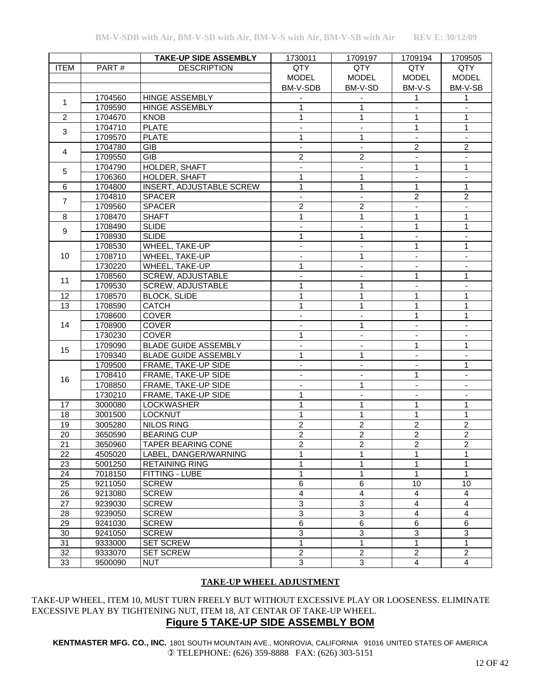|                 |         | <b>TAKE-UP SIDE ASSEMBLY</b>    | 1730011                  | 1709197                     | 1709194                  | 1709505                   |
|-----------------|---------|---------------------------------|--------------------------|-----------------------------|--------------------------|---------------------------|
| <b>ITEM</b>     | PART#   | <b>DESCRIPTION</b>              | QTY                      | QTY                         | QTY                      | QTY                       |
|                 |         |                                 | <b>MODEL</b>             | <b>MODEL</b>                | <b>MODEL</b>             | <b>MODEL</b>              |
|                 |         |                                 | BM-V-SDB                 | BM-V-SD                     | BM-V-S                   | BM-V-SB                   |
|                 | 1704560 | <b>HINGE ASSEMBLY</b>           |                          |                             |                          | 1                         |
| $\mathbf{1}$    | 1709590 | <b>HINGE ASSEMBLY</b>           | 1                        | $\mathbf{1}$                |                          |                           |
| $\overline{c}$  | 1704670 | <b>KNOB</b>                     | 1                        | 1                           |                          | $\mathbf{1}$              |
| 3               | 1704710 | <b>PLATE</b>                    |                          |                             | 1                        | $\mathbf{1}$              |
|                 | 1709570 | <b>PLATE</b>                    | 1                        | 1                           |                          |                           |
|                 | 1704780 | <b>GIB</b>                      | L.                       | $\mathbb{Z}^{\mathbb{Z}}$   | $\overline{c}$           | $\overline{c}$            |
| $\overline{4}$  | 1709550 | <b>GIB</b>                      | $\overline{c}$           | $\overline{c}$              | $\blacksquare$           | $\blacksquare$            |
|                 | 1704790 | HOLDER, SHAFT                   | $\overline{\phantom{a}}$ | $\blacksquare$              | 1                        | $\mathbf{1}$              |
| 5               | 1706360 | HOLDER, SHAFT                   | 1                        | 1                           | $\overline{\phantom{a}}$ |                           |
| 6               | 1704800 | <b>INSERT, ADJUSTABLE SCREW</b> | $\mathbf{1}$             | 1                           | $\mathbf{1}$             | $\mathbf{1}$              |
| $\overline{7}$  | 1704810 | <b>SPACER</b>                   | $\overline{\phantom{a}}$ | $\blacksquare$              | $\overline{2}$           | $\overline{2}$            |
|                 | 1709560 | <b>SPACER</b>                   | $\overline{2}$           | $\overline{2}$              |                          |                           |
| 8               | 1708470 | <b>SHAFT</b>                    | 1                        | 1                           | 1                        | 1                         |
| 9               | 1708490 | <b>SLIDE</b>                    | $\blacksquare$           | $\blacksquare$              | $\mathbf{1}$             | $\mathbf{1}$              |
|                 | 1708930 | <b>SLIDE</b>                    | $\mathbf{1}$             | 1                           | $\blacksquare$           | $\blacksquare$            |
|                 | 1708530 | WHEEL, TAKE-UP                  | $\overline{\phantom{a}}$ | $\overline{\phantom{a}}$    | $\mathbf{1}$             | 1                         |
| 10              | 1708710 | WHEEL, TAKE-UP                  |                          | $\mathbf{1}$                |                          |                           |
|                 | 1730220 | WHEEL, TAKE-UP                  | $\mathbf{1}$             |                             |                          |                           |
| 11              | 1708560 | SCREW, ADJUSTABLE               |                          |                             | $\mathbf{1}$             | $\mathbf{1}$              |
|                 | 1709530 | <b>SCREW, ADJUSTABLE</b>        | $\mathbf{1}$             | $\mathbf{1}$                |                          |                           |
| 12              | 1708570 | <b>BLOCK, SLIDE</b>             | $\mathbf{1}$             | $\mathbf{1}$                | $\mathbf{1}$             | $\mathbf{1}$              |
| $\overline{13}$ | 1708590 | <b>CATCH</b>                    | $\mathbf{1}$             | 1                           | 1                        | $\mathbf{1}$              |
|                 | 1708600 | COVER                           | $\blacksquare$           | $\overline{\phantom{a}}$    | 1                        | $\mathbf{1}$              |
| 14              | 1708900 | <b>COVER</b>                    |                          | 1                           | $\overline{\phantom{a}}$ |                           |
|                 | 1730230 | <b>COVER</b>                    | 1                        |                             |                          |                           |
| 15              | 1709090 | <b>BLADE GUIDE ASSEMBLY</b>     | $\overline{\phantom{a}}$ |                             | 1                        | 1                         |
|                 | 1709340 | <b>BLADE GUIDE ASSEMBLY</b>     | $\mathbf{1}$             | 1                           |                          |                           |
|                 | 1709500 | FRAME, TAKE-UP SIDE             |                          |                             |                          | 1                         |
| 16              | 1708410 | FRAME, TAKE-UP SIDE             | $\mathbf{r}$             | $\mathcal{L}^{\mathcal{A}}$ | 1                        | $\mathbf{r}$              |
|                 | 1708850 | FRAME, TAKE-UP SIDE             | $\overline{\phantom{a}}$ | 1                           | $\blacksquare$           | $\blacksquare$            |
|                 | 1730210 | FRAME, TAKE-UP SIDE             | 1                        |                             | $\overline{\phantom{a}}$ |                           |
| 17              | 3000080 | <b>LOCKWASHER</b>               | 1                        | 1                           | 1                        | 1                         |
| 18              | 3001500 | <b>LOCKNUT</b>                  | $\mathbf{1}$             | $\mathbf{1}$                | 1                        | $\mathbf{1}$              |
| 19              | 3005280 | <b>NILOS RING</b>               | $\overline{2}$           | $\overline{2}$              | $\overline{2}$           | $\overline{2}$            |
| $\overline{20}$ | 3650590 | <b>BEARING CUP</b>              | $\overline{2}$           | $\overline{2}$              | $\overline{2}$           | $\overline{2}$            |
| $\overline{21}$ | 3650960 | <b>TAPER BEARING CONE</b>       | $\overline{2}$           | $\overline{2}$              | $\overline{2}$           | $\overline{2}$            |
| 22              | 4505020 | LABEL, DANGER/WARNING           | 1                        | 1                           | 1                        | 1                         |
| 23              | 5001250 | <b>RETAINING RING</b>           | 1                        |                             | 1                        | 1                         |
| 24              | 7018150 | FITTING - LUBE                  | 1                        | 1                           | 1                        | 1                         |
| 25              | 9211050 | <b>SCREW</b>                    | 6                        | 6                           | 10                       | 10                        |
| 26              | 9213080 | <b>SCREW</b>                    | $\overline{4}$           | $\overline{\mathbf{4}}$     | 4                        | $\overline{\mathbf{4}}$   |
| $\overline{27}$ | 9239030 | <b>SCREW</b>                    | 3                        | $\overline{3}$              | $\overline{4}$           | 4                         |
| 28              | 9239050 | <b>SCREW</b>                    | $\overline{3}$           | $\mathbf{3}$                | 4                        | $\overline{\mathbf{4}}$   |
| 29              | 9241030 | <b>SCREW</b>                    | $\,6$                    | 6                           | $\overline{6}$           | 6                         |
| 30              | 9241050 | <b>SCREW</b>                    | 3                        | $\mathbf{3}$                | $\overline{3}$           | $\ensuremath{\mathsf{3}}$ |
| 31              | 9333000 | <b>SET SCREW</b>                | 1                        | 1                           | 1                        | 1                         |
| 32              | 9333070 | <b>SET SCREW</b>                | $\boldsymbol{2}$         | $\overline{c}$              | $\overline{c}$           | $\boldsymbol{2}$          |
| 33              | 9500090 | <b>NUT</b>                      | $\overline{3}$           | 3                           | 4                        | $\overline{\mathbf{4}}$   |

#### **TAKE-UP WHEEL ADJUSTMENT**

TAKE-UP WHEEL, ITEM 10, MUST TURN FREELY BUT WITHOUT EXCESSIVE PLAY OR LOOSENESS. ELIMINATE EXCESSIVE PLAY BY TIGHTENING NUT, ITEM 18, AT CENTAR OF TAKE-UP WHEEL. **Figure 5 TAKE-UP SIDE ASSEMBLY BOM**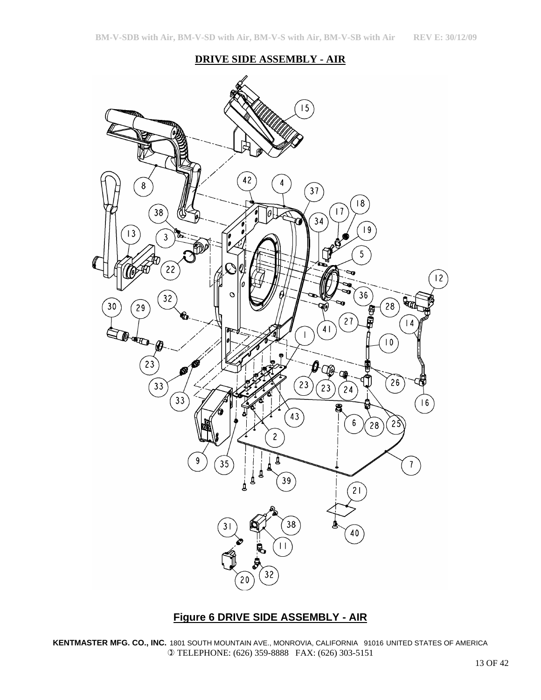## **DRIVE SIDE ASSEMBLY - AIR**



## **Figure 6 DRIVE SIDE ASSEMBLY - AIR**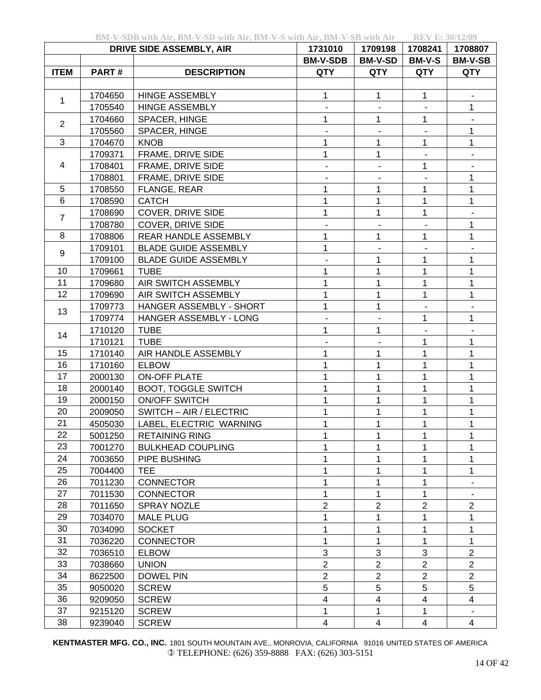|  |  |  | BM-V-SDB with Air, BM-V-SD with Air, BM-V-S with Air, BM-V-SB with Air | <b>REV E: 30/12/09</b> |
|--|--|--|------------------------------------------------------------------------|------------------------|
|--|--|--|------------------------------------------------------------------------|------------------------|

| EV E: 30/12/09 |  |  |  |  |
|----------------|--|--|--|--|

|                |         | <b>DRIVE SIDE ASSEMBLY, AIR</b> | 1731010                      | 1709198                                                                                                                                                                                                                                                                                                                                                                                                                                                                                                                                                                                                                                            | 1708241       | 1708807        |
|----------------|---------|---------------------------------|------------------------------|----------------------------------------------------------------------------------------------------------------------------------------------------------------------------------------------------------------------------------------------------------------------------------------------------------------------------------------------------------------------------------------------------------------------------------------------------------------------------------------------------------------------------------------------------------------------------------------------------------------------------------------------------|---------------|----------------|
|                |         |                                 | <b>BM-V-SDB</b>              | <b>BM-V-SD</b>                                                                                                                                                                                                                                                                                                                                                                                                                                                                                                                                                                                                                                     | <b>BM-V-S</b> | <b>BM-V-SB</b> |
| <b>ITEM</b>    | PART#   | <b>DESCRIPTION</b>              | <b>QTY</b>                   | <b>QTY</b>                                                                                                                                                                                                                                                                                                                                                                                                                                                                                                                                                                                                                                         | <b>QTY</b>    | <b>QTY</b>     |
|                |         |                                 |                              |                                                                                                                                                                                                                                                                                                                                                                                                                                                                                                                                                                                                                                                    |               |                |
| 1              | 1704650 | <b>HINGE ASSEMBLY</b>           | 1                            | 1                                                                                                                                                                                                                                                                                                                                                                                                                                                                                                                                                                                                                                                  | 1             |                |
|                | 1705540 | <b>HINGE ASSEMBLY</b>           |                              |                                                                                                                                                                                                                                                                                                                                                                                                                                                                                                                                                                                                                                                    |               | 1              |
| $\overline{2}$ | 1704660 | SPACER, HINGE                   | 1                            | 1                                                                                                                                                                                                                                                                                                                                                                                                                                                                                                                                                                                                                                                  | $\mathbf{1}$  | ٠              |
|                | 1705560 | SPACER, HINGE                   |                              | 1<br>1<br>$\mathbf{1}$<br>1<br>$\overline{\phantom{a}}$<br>1<br>$\mathbf{1}$<br>1<br>1<br>1<br>1<br>$\overline{\phantom{a}}$<br>$\overline{\phantom{a}}$<br>$\mathbf{1}$<br>$\mathbf{1}$<br>1<br>$\mathbf{1}$<br>1<br>1<br>1<br>1<br>1<br>1<br>1<br>$\mathbf{1}$<br>1<br>1<br>$\blacksquare$<br>1<br>1<br>1<br>1<br>1<br>1<br>1<br>1<br>1<br>1<br>1<br>1<br>1<br>1<br>1<br>1<br>1<br>1<br>1<br>1<br>1<br>1<br>1<br>1<br>$\overline{2}$<br>$\overline{2}$<br>1<br>1<br>1<br>1<br>1<br>1<br>3<br>3<br>$\overline{2}$<br>$\overline{2}$<br>$\overline{c}$<br>$\overline{2}$<br>5<br>5<br>$\overline{\mathbf{4}}$<br>$\overline{\mathbf{4}}$<br>1<br>1 |               | 1              |
| 3              | 1704670 | <b>KNOB</b>                     | 1                            |                                                                                                                                                                                                                                                                                                                                                                                                                                                                                                                                                                                                                                                    |               | 1              |
|                | 1709371 | FRAME, DRIVE SIDE               | $\mathbf 1$                  |                                                                                                                                                                                                                                                                                                                                                                                                                                                                                                                                                                                                                                                    |               |                |
| 4              | 1708401 | FRAME, DRIVE SIDE               | $\overline{\phantom{a}}$     |                                                                                                                                                                                                                                                                                                                                                                                                                                                                                                                                                                                                                                                    |               |                |
|                | 1708801 | FRAME, DRIVE SIDE               |                              |                                                                                                                                                                                                                                                                                                                                                                                                                                                                                                                                                                                                                                                    |               | 1              |
| 5              | 1708550 | FLANGE, REAR                    | 1                            |                                                                                                                                                                                                                                                                                                                                                                                                                                                                                                                                                                                                                                                    |               | 1              |
| 6              | 1708590 | <b>CATCH</b>                    | 1                            |                                                                                                                                                                                                                                                                                                                                                                                                                                                                                                                                                                                                                                                    |               | 1              |
| $\overline{7}$ | 1708690 | COVER, DRIVE SIDE               | 1                            |                                                                                                                                                                                                                                                                                                                                                                                                                                                                                                                                                                                                                                                    |               |                |
|                | 1708780 | COVER, DRIVE SIDE               | $\qquad \qquad \blacksquare$ |                                                                                                                                                                                                                                                                                                                                                                                                                                                                                                                                                                                                                                                    |               | 1              |
| 8              | 1708806 | REAR HANDLE ASSEMBLY            | 1                            |                                                                                                                                                                                                                                                                                                                                                                                                                                                                                                                                                                                                                                                    |               | 1              |
| 9              | 1709101 | <b>BLADE GUIDE ASSEMBLY</b>     | 1                            |                                                                                                                                                                                                                                                                                                                                                                                                                                                                                                                                                                                                                                                    |               |                |
|                | 1709100 | <b>BLADE GUIDE ASSEMBLY</b>     |                              |                                                                                                                                                                                                                                                                                                                                                                                                                                                                                                                                                                                                                                                    |               | 1              |
| 10             | 1709661 | <b>TUBE</b>                     | 1                            |                                                                                                                                                                                                                                                                                                                                                                                                                                                                                                                                                                                                                                                    |               | 1              |
| 11             | 1709680 | AIR SWITCH ASSEMBLY             | 1                            |                                                                                                                                                                                                                                                                                                                                                                                                                                                                                                                                                                                                                                                    |               | 1              |
| 12             | 1709690 | AIR SWITCH ASSEMBLY             | 1                            |                                                                                                                                                                                                                                                                                                                                                                                                                                                                                                                                                                                                                                                    |               | 1              |
| 13             | 1709773 | HANGER ASSEMBLY - SHORT         | 1                            |                                                                                                                                                                                                                                                                                                                                                                                                                                                                                                                                                                                                                                                    |               |                |
|                | 1709774 | HANGER ASSEMBLY - LONG          |                              |                                                                                                                                                                                                                                                                                                                                                                                                                                                                                                                                                                                                                                                    |               | 1              |
| 14             | 1710120 | <b>TUBE</b>                     | 1                            |                                                                                                                                                                                                                                                                                                                                                                                                                                                                                                                                                                                                                                                    |               |                |
|                | 1710121 | <b>TUBE</b>                     | $\qquad \qquad \blacksquare$ |                                                                                                                                                                                                                                                                                                                                                                                                                                                                                                                                                                                                                                                    |               | 1              |
| 15             | 1710140 | AIR HANDLE ASSEMBLY             | 1                            |                                                                                                                                                                                                                                                                                                                                                                                                                                                                                                                                                                                                                                                    |               | 1              |
| 16             | 1710160 | <b>ELBOW</b>                    | 1                            |                                                                                                                                                                                                                                                                                                                                                                                                                                                                                                                                                                                                                                                    |               | 1              |
| 17             | 2000130 | <b>ON-OFF PLATE</b>             | 1                            |                                                                                                                                                                                                                                                                                                                                                                                                                                                                                                                                                                                                                                                    |               | $\mathbf 1$    |
| 18             | 2000140 | <b>BOOT, TOGGLE SWITCH</b>      | 1                            |                                                                                                                                                                                                                                                                                                                                                                                                                                                                                                                                                                                                                                                    |               | 1              |
| 19             | 2000150 | <b>ON/OFF SWITCH</b>            | 1                            |                                                                                                                                                                                                                                                                                                                                                                                                                                                                                                                                                                                                                                                    |               | 1              |
| 20             | 2009050 | SWITCH - AIR / ELECTRIC         | 1                            |                                                                                                                                                                                                                                                                                                                                                                                                                                                                                                                                                                                                                                                    |               | 1              |
| 21             | 4505030 | LABEL, ELECTRIC WARNING         |                              |                                                                                                                                                                                                                                                                                                                                                                                                                                                                                                                                                                                                                                                    |               |                |
| 22             | 5001250 | <b>RETAINING RING</b>           | 1                            |                                                                                                                                                                                                                                                                                                                                                                                                                                                                                                                                                                                                                                                    |               | 1              |
| 23             | 7001270 | <b>BULKHEAD COUPLING</b>        | 1                            |                                                                                                                                                                                                                                                                                                                                                                                                                                                                                                                                                                                                                                                    |               | 1              |
| 24             | 7003650 | PIPE BUSHING                    | 1                            |                                                                                                                                                                                                                                                                                                                                                                                                                                                                                                                                                                                                                                                    |               | 1              |
| 25             | 7004400 | <b>TEE</b>                      | 1                            |                                                                                                                                                                                                                                                                                                                                                                                                                                                                                                                                                                                                                                                    |               | 1              |
| 26             | 7011230 | <b>CONNECTOR</b>                | 1                            |                                                                                                                                                                                                                                                                                                                                                                                                                                                                                                                                                                                                                                                    |               |                |
| 27             | 7011530 | <b>CONNECTOR</b>                | 1                            |                                                                                                                                                                                                                                                                                                                                                                                                                                                                                                                                                                                                                                                    |               |                |
| 28             | 7011650 | <b>SPRAY NOZLE</b>              | $\overline{2}$               |                                                                                                                                                                                                                                                                                                                                                                                                                                                                                                                                                                                                                                                    |               | $\overline{c}$ |
| 29             | 7034070 | <b>MALE PLUG</b>                | 1                            |                                                                                                                                                                                                                                                                                                                                                                                                                                                                                                                                                                                                                                                    |               | 1              |
| 30             | 7034090 | <b>SOCKET</b>                   | 1                            |                                                                                                                                                                                                                                                                                                                                                                                                                                                                                                                                                                                                                                                    |               | 1              |
| 31             | 7036220 | <b>CONNECTOR</b>                | 1                            |                                                                                                                                                                                                                                                                                                                                                                                                                                                                                                                                                                                                                                                    |               | 1              |
| 32             | 7036510 | <b>ELBOW</b>                    | 3                            |                                                                                                                                                                                                                                                                                                                                                                                                                                                                                                                                                                                                                                                    |               | $\overline{2}$ |
| 33             | 7038660 | <b>UNION</b>                    | $\overline{2}$               |                                                                                                                                                                                                                                                                                                                                                                                                                                                                                                                                                                                                                                                    |               | $\overline{2}$ |
| 34             | 8622500 | <b>DOWEL PIN</b>                | $\overline{2}$               |                                                                                                                                                                                                                                                                                                                                                                                                                                                                                                                                                                                                                                                    |               | $\overline{2}$ |
| 35             | 9050020 | <b>SCREW</b>                    | 5                            |                                                                                                                                                                                                                                                                                                                                                                                                                                                                                                                                                                                                                                                    |               | 5              |
| 36             | 9209050 | <b>SCREW</b>                    | 4                            |                                                                                                                                                                                                                                                                                                                                                                                                                                                                                                                                                                                                                                                    |               | 4              |
| 37             | 9215120 | <b>SCREW</b>                    | 1                            |                                                                                                                                                                                                                                                                                                                                                                                                                                                                                                                                                                                                                                                    |               |                |
| 38             | 9239040 | <b>SCREW</b>                    | $\overline{4}$               | $\overline{4}$                                                                                                                                                                                                                                                                                                                                                                                                                                                                                                                                                                                                                                     | 4             | 4              |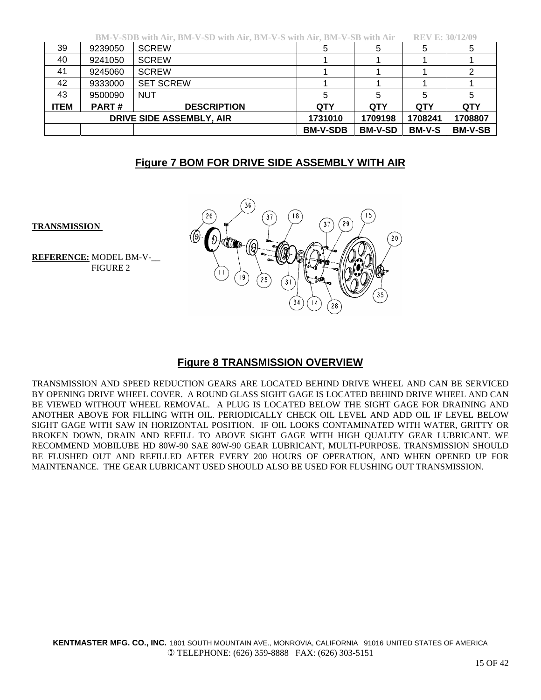|             |              | BM-V-SDB with Air, BM-V-SD with Air, BM-V-S with Air, BM-V-SB with Air |                 |                | <b>REV E: 30/12/09</b> |                |
|-------------|--------------|------------------------------------------------------------------------|-----------------|----------------|------------------------|----------------|
| 39          | 9239050      | <b>SCREW</b>                                                           |                 |                | 5                      | 5              |
| 40          | 9241050      | <b>SCREW</b>                                                           |                 |                |                        |                |
| 41          | 9245060      | <b>SCREW</b>                                                           |                 |                |                        |                |
| 42          | 9333000      | <b>SET SCREW</b>                                                       |                 |                |                        |                |
| 43          | 9500090      | <b>NUT</b>                                                             |                 |                | 5                      |                |
| <b>ITEM</b> | <b>PART#</b> | <b>DESCRIPTION</b>                                                     | QTY             | <b>QTY</b>     | <b>QTY</b>             | <b>QTY</b>     |
|             |              | DRIVE SIDE ASSEMBLY, AIR                                               | 1731010         | 1709198        | 1708241                | 1708807        |
|             |              |                                                                        | <b>BM-V-SDB</b> | <b>BM-V-SD</b> | <b>BM-V-S</b>          | <b>BM-V-SB</b> |

# **Figure 7 BOM FOR DRIVE SIDE ASSEMBLY WITH AIR**

 $20$ 

**TRANSMISSION** 

**REFERENCE:** MODEL BM-V-\_\_ FIGURE 2



**Figure 8 TRANSMISSION OVERVIEW**

TRANSMISSION AND SPEED REDUCTION GEARS ARE LOCATED BEHIND DRIVE WHEEL AND CAN BE SERVICED BY OPENING DRIVE WHEEL COVER. A ROUND GLASS SIGHT GAGE IS LOCATED BEHIND DRIVE WHEEL AND CAN BE VIEWED WITHOUT WHEEL REMOVAL. A PLUG IS LOCATED BELOW THE SIGHT GAGE FOR DRAINING AND ANOTHER ABOVE FOR FILLING WITH OIL. PERIODICALLY CHECK OIL LEVEL AND ADD OIL IF LEVEL BELOW SIGHT GAGE WITH SAW IN HORIZONTAL POSITION. IF OIL LOOKS CONTAMINATED WITH WATER, GRITTY OR BROKEN DOWN, DRAIN AND REFILL TO ABOVE SIGHT GAGE WITH HIGH QUALITY GEAR LUBRICANT. WE RECOMMEND MOBILUBE HD 80W-90 SAE 80W-90 GEAR LUBRICANT, MULTI-PURPOSE. TRANSMISSION SHOULD BE FLUSHED OUT AND REFILLED AFTER EVERY 200 HOURS OF OPERATION, AND WHEN OPENED UP FOR MAINTENANCE. THE GEAR LUBRICANT USED SHOULD ALSO BE USED FOR FLUSHING OUT TRANSMISSION.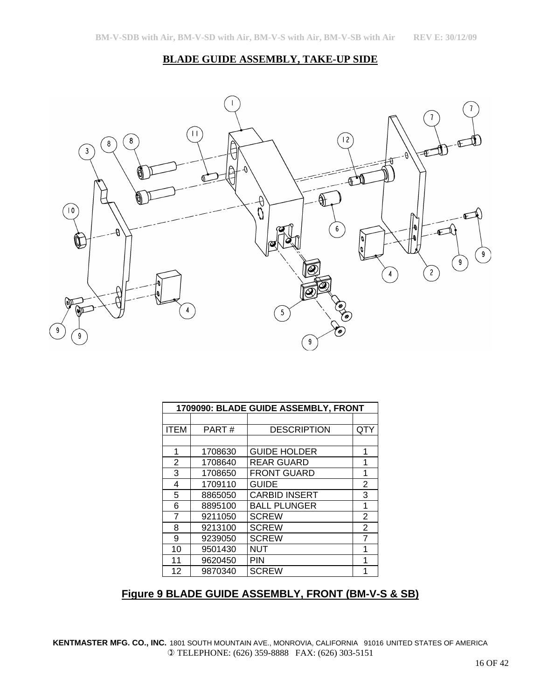#### **BLADE GUIDE ASSEMBLY, TAKE-UP SIDE**



|             | 1709090: BLADE GUIDE ASSEMBLY, FRONT |                      |                |  |  |
|-------------|--------------------------------------|----------------------|----------------|--|--|
|             |                                      |                      |                |  |  |
| <b>ITEM</b> | PART#                                | <b>DESCRIPTION</b>   | QTY            |  |  |
|             |                                      |                      |                |  |  |
| 1           | 1708630                              | <b>GUIDE HOLDER</b>  | 1              |  |  |
| 2           | 1708640                              | <b>REAR GUARD</b>    | 1              |  |  |
| 3           | 1708650                              | <b>FRONT GUARD</b>   | 1              |  |  |
| 4           | 1709110                              | <b>GUIDE</b>         | $\overline{2}$ |  |  |
| 5           | 8865050                              | <b>CARBID INSERT</b> | 3              |  |  |
| 6           | 8895100                              | <b>BALL PLUNGER</b>  | 1              |  |  |
| 7           | 9211050                              | <b>SCREW</b>         | $\overline{2}$ |  |  |
| 8           | 9213100                              | <b>SCREW</b>         | $\overline{2}$ |  |  |
| 9           | 9239050                              | <b>SCREW</b>         | 7              |  |  |
| 10          | 9501430                              | NUT                  | 1              |  |  |
| 11          | 9620450                              | <b>PIN</b>           | 1              |  |  |
| 12          | 9870340                              | <b>SCREW</b>         | 1              |  |  |

# **Figure 9 BLADE GUIDE ASSEMBLY, FRONT (BM-V-S & SB)**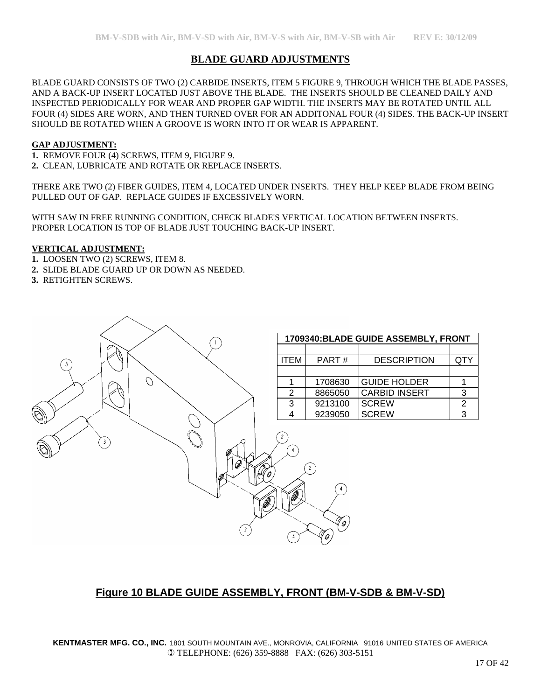## **BLADE GUARD ADJUSTMENTS**

BLADE GUARD CONSISTS OF TWO (2) CARBIDE INSERTS, ITEM 5 FIGURE 9, THROUGH WHICH THE BLADE PASSES, AND A BACK-UP INSERT LOCATED JUST ABOVE THE BLADE. THE INSERTS SHOULD BE CLEANED DAILY AND INSPECTED PERIODICALLY FOR WEAR AND PROPER GAP WIDTH. THE INSERTS MAY BE ROTATED UNTIL ALL FOUR (4) SIDES ARE WORN, AND THEN TURNED OVER FOR AN ADDITONAL FOUR (4) SIDES. THE BACK-UP INSERT SHOULD BE ROTATED WHEN A GROOVE IS WORN INTO IT OR WEAR IS APPARENT.

#### **GAP ADJUSTMENT:**

**1.** REMOVE FOUR (4) SCREWS, ITEM 9, FIGURE 9. **2.** CLEAN, LUBRICATE AND ROTATE OR REPLACE INSERTS.

THERE ARE TWO (2) FIBER GUIDES, ITEM 4, LOCATED UNDER INSERTS. THEY HELP KEEP BLADE FROM BEING PULLED OUT OF GAP. REPLACE GUIDES IF EXCESSIVELY WORN.

WITH SAW IN FREE RUNNING CONDITION, CHECK BLADE'S VERTICAL LOCATION BETWEEN INSERTS. PROPER LOCATION IS TOP OF BLADE JUST TOUCHING BACK-UP INSERT.

#### **VERTICAL ADJUSTMENT:**

- **1.** LOOSEN TWO (2) SCREWS, ITEM 8.
- **2.** SLIDE BLADE GUARD UP OR DOWN AS NEEDED.
- **3.** RETIGHTEN SCREWS.



## **Figure 10 BLADE GUIDE ASSEMBLY, FRONT (BM-V-SDB & BM-V-SD)**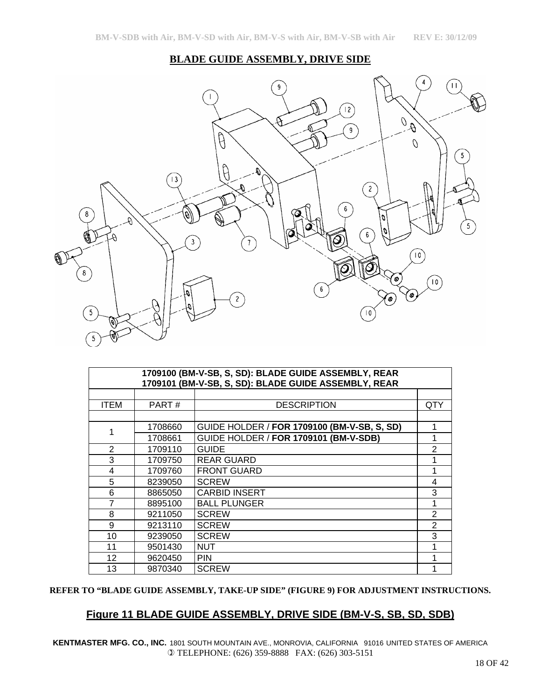### **BLADE GUIDE ASSEMBLY, DRIVE SIDE**



|                | 1709100 (BM-V-SB, S, SD): BLADE GUIDE ASSEMBLY, REAR<br>1709101 (BM-V-SB, S, SD): BLADE GUIDE ASSEMBLY, REAR |                                             |     |  |  |  |
|----------------|--------------------------------------------------------------------------------------------------------------|---------------------------------------------|-----|--|--|--|
|                |                                                                                                              |                                             |     |  |  |  |
| <b>ITEM</b>    | PART#                                                                                                        | <b>DESCRIPTION</b>                          | QTY |  |  |  |
|                |                                                                                                              |                                             |     |  |  |  |
| 1              | 1708660                                                                                                      | GUIDE HOLDER / FOR 1709100 (BM-V-SB, S, SD) |     |  |  |  |
|                | 1708661                                                                                                      | GUIDE HOLDER / FOR 1709101 (BM-V-SDB)       |     |  |  |  |
| $\overline{2}$ | 1709110                                                                                                      | <b>GUIDE</b>                                | 2   |  |  |  |
| 3              | 1709750                                                                                                      | <b>REAR GUARD</b>                           |     |  |  |  |
| $\overline{4}$ | 1709760                                                                                                      | <b>FRONT GUARD</b>                          |     |  |  |  |
| 5              | 8239050                                                                                                      | <b>SCREW</b>                                | 4   |  |  |  |
| 6              | 8865050                                                                                                      | <b>CARBID INSERT</b>                        | 3   |  |  |  |
| 7              | 8895100                                                                                                      | <b>BALL PLUNGER</b>                         |     |  |  |  |
| 8              | 9211050                                                                                                      | <b>SCREW</b>                                | 2   |  |  |  |
| 9              | 9213110                                                                                                      | <b>SCREW</b>                                | 2   |  |  |  |
| 10             | 9239050                                                                                                      | <b>SCREW</b>                                | 3   |  |  |  |
| 11             | 9501430                                                                                                      | <b>NUT</b>                                  |     |  |  |  |
| 12             | 9620450                                                                                                      | <b>PIN</b>                                  |     |  |  |  |
| 13             | 9870340                                                                                                      | <b>SCREW</b>                                |     |  |  |  |

#### **REFER TO "BLADE GUIDE ASSEMBLY, TAKE-UP SIDE" (FIGURE 9) FOR ADJUSTMENT INSTRUCTIONS.**

## **Figure 11 BLADE GUIDE ASSEMBLY, DRIVE SIDE (BM-V-S, SB, SD, SDB)**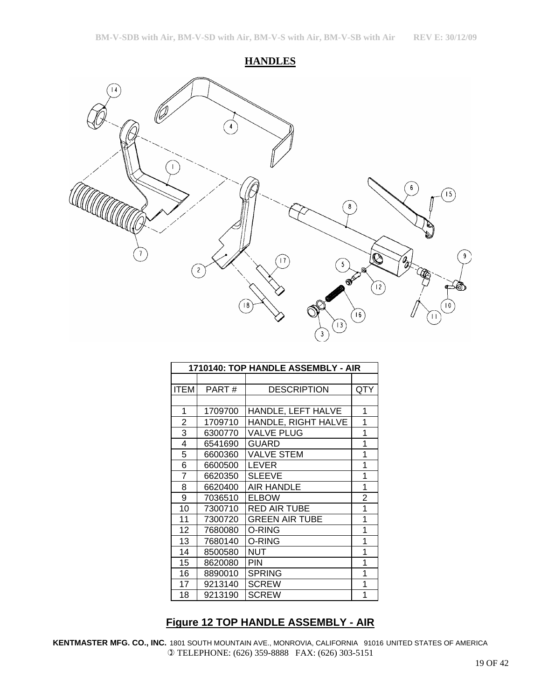**HANDLES**



| 1710140: TOP HANDLE ASSEMBLY - AIR |         |                       |     |
|------------------------------------|---------|-----------------------|-----|
|                                    |         |                       |     |
| ITEM                               | PART#   | <b>DESCRIPTION</b>    | QTY |
|                                    |         |                       |     |
| 1                                  | 1709700 | HANDLE, LEFT HALVE    | 1   |
| 2                                  | 1709710 | HANDLE, RIGHT HALVE   | 1   |
| 3                                  | 6300770 | <b>VALVE PLUG</b>     | 1   |
| 4                                  | 6541690 | <b>GUARD</b>          | 1   |
| 5                                  | 6600360 | <b>VALVE STEM</b>     | 1   |
| 6                                  | 6600500 | <b>LEVER</b>          | 1   |
| 7                                  | 6620350 | <b>SLEEVE</b>         | 1   |
| 8                                  | 6620400 | <b>AIR HANDLE</b>     | 1   |
| 9                                  | 7036510 | <b>ELBOW</b>          | 2   |
| 10                                 | 7300710 | <b>RED AIR TUBE</b>   | 1   |
| 11                                 | 7300720 | <b>GREEN AIR TUBE</b> | 1   |
| $12 \overline{ }$                  | 7680080 | O-RING                | 1   |
| 13                                 | 7680140 | O-RING                | 1   |
| 14                                 | 8500580 | <b>NUT</b>            | 1   |
| 15                                 | 8620080 | <b>PIN</b>            | 1   |
| 16                                 | 8890010 | <b>SPRING</b>         | 1   |
| 17                                 | 9213140 | <b>SCREW</b>          | 1   |
| 18                                 | 9213190 | <b>SCREW</b>          | 1   |

# **Figure 12 TOP HANDLE ASSEMBLY - AIR**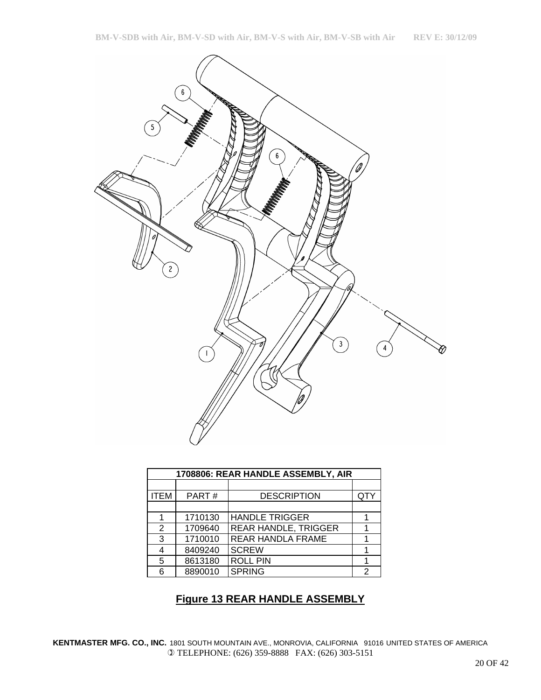

| 1708806: REAR HANDLE ASSEMBLY, AIR |         |                             |     |  |
|------------------------------------|---------|-----------------------------|-----|--|
|                                    |         |                             |     |  |
| <b>ITEM</b>                        | PART#   | <b>DESCRIPTION</b>          | QTY |  |
|                                    |         |                             |     |  |
|                                    | 1710130 | <b>HANDLE TRIGGER</b>       |     |  |
| 2                                  | 1709640 | <b>REAR HANDLE, TRIGGER</b> |     |  |
| 3                                  | 1710010 | <b>REAR HANDLA FRAME</b>    |     |  |
| 4                                  | 8409240 | <b>SCREW</b>                |     |  |
| 5                                  | 8613180 | <b>ROLL PIN</b>             |     |  |
| 6                                  | 8890010 | <b>SPRING</b>               | 2   |  |

## **Figure 13 REAR HANDLE ASSEMBLY**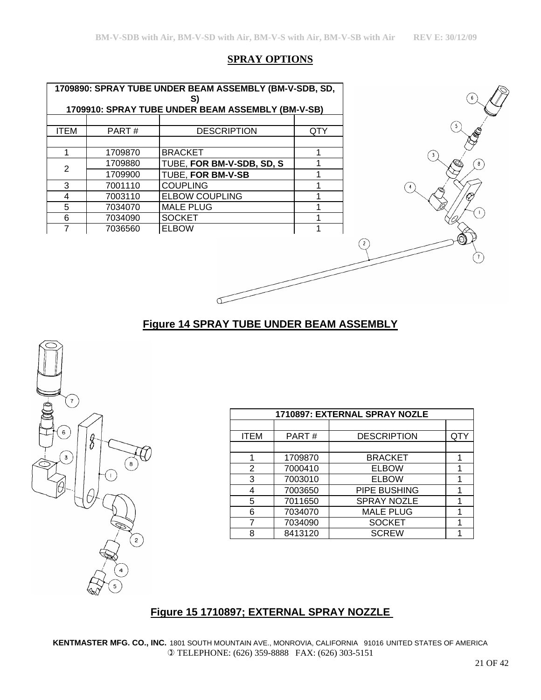## **SPRAY OPTIONS**

|                         |     | 1709890: SPRAY TUBE UNDER BEAM ASSEMBLY (BM-V-SDB, SD,<br>S) |         |             |
|-------------------------|-----|--------------------------------------------------------------|---------|-------------|
|                         |     | 1709910: SPRAY TUBE UNDER BEAM ASSEMBLY (BM-V-SB)            |         |             |
|                         |     |                                                              |         |             |
|                         | QTY | <b>DESCRIPTION</b>                                           | PART#   | <b>ITEM</b> |
|                         |     |                                                              |         |             |
| $\overline{\mathbf{3}}$ |     | <b>BRACKET</b>                                               | 1709870 |             |
|                         |     | TUBE, FOR BM-V-SDB, SD, S                                    | 1709880 | 2           |
|                         |     | TUBE, FOR BM-V-SB                                            | 1709900 |             |
|                         |     | <b>COUPLING</b>                                              | 7001110 | 3           |
|                         |     | <b>ELBOW COUPLING</b>                                        | 7003110 | 4           |
|                         |     | <b>MALE PLUG</b>                                             | 7034070 | 5           |
|                         |     | <b>SOCKET</b>                                                | 7034090 | 6           |
|                         |     | <b>ELBOW</b>                                                 | 7036560 | 7           |

 $\sigma$ 

# **Figure 14 SPRAY TUBE UNDER BEAM ASSEMBLY**



|             |         | 1710897: EXTERNAL SPRAY NOZLE |     |
|-------------|---------|-------------------------------|-----|
|             |         |                               |     |
| <b>ITEM</b> | PART#   | <b>DESCRIPTION</b>            | QTY |
|             |         |                               |     |
|             | 1709870 | <b>BRACKET</b>                |     |
| 2           | 7000410 | <b>ELBOW</b>                  |     |
| 3           | 7003010 | <b>ELBOW</b>                  |     |
| 4           | 7003650 | PIPE BUSHING                  |     |
| 5           | 7011650 | <b>SPRAY NOZLE</b>            |     |
| 6           | 7034070 | <b>MALE PLUG</b>              |     |
| 7           | 7034090 | <b>SOCKET</b>                 |     |
| 8           | 8413120 | <b>SCREW</b>                  |     |

# **Figure 15 1710897; EXTERNAL SPRAY NOZZLE**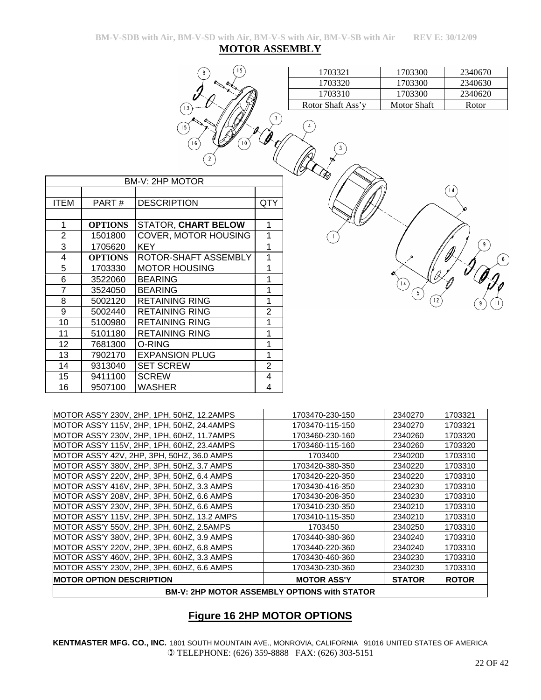# **Figure 16 2HP MOTOR OPTIONS**

**KENTMASTER MFG. CO., INC.** 1801 SOUTH MOUNTAIN AVE., MONROVIA, CALIFORNIA 91016 UNITED STATES OF AMERICA  TELEPHONE: (626) 359-8888 FAX: (626) 303-5151

|                                                     | <b>BM-V: 2HP MOTOR ASSEMBLY OPTIONS with STATOR</b> |               |              |
|-----------------------------------------------------|-----------------------------------------------------|---------------|--------------|
| <b>IMOTOR OPTION DESCRIPTION</b>                    | <b>MOTOR ASS'Y</b>                                  | <b>STATOR</b> | <b>ROTOR</b> |
| MOTOR ASS'Y 230V, 2HP, 3PH, 60HZ, 6.6 AMPS          | 1703430-230-360                                     | 2340230       | 1703310      |
| MOTOR ASS'Y 460V, 2HP, 3PH, 60HZ, 3.3 AMPS          | 1703430-460-360                                     | 2340230       | 1703310      |
| MOTOR ASS'Y 220V, 2HP, 3PH, 60HZ, 6.8 AMPS          | 1703440-220-360                                     | 2340240       | 1703310      |
| MOTOR ASS'Y 380V, 2HP, 3PH, 60HZ, 3.9 AMPS          | 1703440-380-360                                     | 2340240       | 1703310      |
| MOTOR ASS'Y 550V, 2HP, 3PH, 60HZ, 2.5AMPS           | 1703450                                             | 2340250       | 1703310      |
| <b>IMOTOR ASS'Y 115V, 2HP, 3PH, 50HZ, 13.2 AMPS</b> | 1703410-115-350                                     | 2340210       | 1703310      |
| MOTOR ASS'Y 230V, 2HP, 3PH, 50HZ, 6.6 AMPS          | 1703410-230-350                                     | 2340210       | 1703310      |
| MOTOR ASS'Y 208V, 2HP, 3PH, 50HZ, 6.6 AMPS          | 1703430-208-350                                     | 2340230       | 1703310      |
| MOTOR ASS'Y 416V, 2HP, 3PH, 50HZ, 3.3 AMPS          | 1703430-416-350                                     | 2340230       | 1703310      |
| MOTOR ASS'Y 220V, 2HP, 3PH, 50HZ, 6.4 AMPS          | 1703420-220-350                                     | 2340220       | 1703310      |
| MOTOR ASS'Y 380V, 2HP, 3PH, 50HZ, 3.7 AMPS          | 1703420-380-350                                     | 2340220       | 1703310      |
| IMOTOR ASS'Y 42V, 2HP, 3PH, 50HZ, 36.0 AMPS         | 1703400                                             | 2340200       | 1703310      |
| MOTOR ASS'Y 115V, 2HP, 1PH, 60HZ, 23.4AMPS          | 1703460-115-160                                     | 2340260       | 1703320      |
| IMOTOR ASS'Y 230V, 2HP, 1PH, 60HZ, 11,7AMPS         | 1703460-230-160                                     | 2340260       | 1703320      |
| MOTOR ASS'Y 115V, 2HP, 1PH, 50HZ, 24.4AMPS          | 1703470-115-150                                     | 2340270       | 1703321      |

MOTOR ASS'Y 230V, 2HP, 1PH, 50HZ, 12.2AMPS | 1703470-230-150 | 2340270 | 1703321

|      | BM-V: 2HP MOTOR |                             |                |  |
|------|-----------------|-----------------------------|----------------|--|
|      |                 |                             |                |  |
| ITEM | PART#           | <b>DESCRIPTION</b>          | QTY            |  |
|      |                 |                             |                |  |
| 1    | <b>OPTIONS</b>  | <b>STATOR, CHART BELOW</b>  | 1              |  |
| 2    | 1501800         | <b>COVER, MOTOR HOUSING</b> | 1              |  |
| 3    | 1705620         | KEY                         | 1              |  |
| 4    | <b>OPTIONS</b>  | ROTOR-SHAFT ASSEMBLY        | 1              |  |
| 5    | 1703330         | <b>MOTOR HOUSING</b>        | 1              |  |
| 6    | 3522060         | <b>BEARING</b>              | 1              |  |
| 7    | 3524050         | <b>BEARING</b>              | 1              |  |
| 8    | 5002120         | <b>RETAINING RING</b>       | 1              |  |
| 9    | 5002440         | <b>RETAINING RING</b>       | 2              |  |
| 10   | 5100980         | <b>RETAINING RING</b>       | 1              |  |
| 11   | 5101180         | <b>RETAINING RING</b>       | 1              |  |
| 12   | 7681300         | O-RING                      | 1              |  |
| 13   | 7902170         | <b>EXPANSION PLUG</b>       | 1              |  |
| 14   | 9313040         | <b>SET SCREW</b>            | $\overline{2}$ |  |
| 15   | 9411100         | <b>SCREW</b>                | 4              |  |
| 16   | 9507100         | WASHER                      | 4              |  |
|      |                 |                             |                |  |

 $(14)$ 

| <b>MOTOR ASSEMBLY</b> |  |  |  |
|-----------------------|--|--|--|
|                       |  |  |  |

10

| 1703321 | 1703300 | 2340670 |
|---------|---------|---------|
| 1703320 | 1703300 | 2340630 |
| 1703310 | 1703300 | 2340620 |

Rotor Shaft Ass'y Motor Shaft Rotor

3

**BM-V-SDB with Air, BM-V-SD with Air, BM-V-S with Air, BM-V-SB with Air REV E: 30/12/09**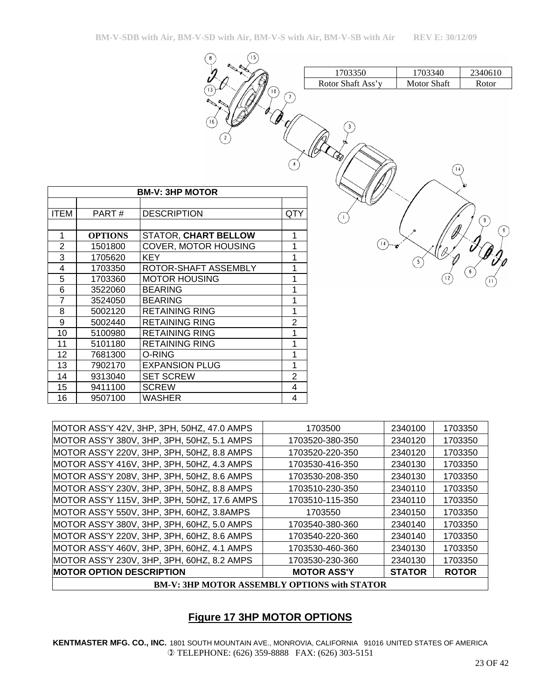| [15]<br>$\bf 8$          |     |                   |             |                                        |
|--------------------------|-----|-------------------|-------------|----------------------------------------|
|                          |     | 1703350           | 1703340     | 2340610                                |
| 13<br>$10^{\circ}$       |     | Rotor Shaft Ass'y | Motor Shaft | Rotor                                  |
| 16<br>$\overline{c}$     | ำ   |                   |             |                                        |
| $\overline{\text{OTOR}}$ |     |                   |             |                                        |
| Ń                        | QTY |                   |             |                                        |
|                          |     | $\mathsf{I}$      |             | 9                                      |
| <b>ART BELLOW</b>        | 1   |                   |             | 9                                      |
| <b>TOR HOUSING</b>       | 1   |                   |             |                                        |
|                          | 1   |                   |             |                                        |
| FT ASSEMBLY              | 1   |                   |             | $\left\lceil \frac{1}{2} \right\rceil$ |
| <b>JSING</b>             | 1   |                   |             |                                        |
|                          | 1   |                   |             |                                        |
|                          | 1   |                   |             |                                        |
| <u>रा</u><br>९           | 1   |                   |             |                                        |

|                |                | <b>BM-V: 3HP MOTOR</b>      |     |
|----------------|----------------|-----------------------------|-----|
|                |                |                             |     |
| <b>ITEM</b>    | PART#          | <b>DESCRIPTION</b>          | QTY |
|                |                |                             |     |
| 1              | <b>OPTIONS</b> | <b>STATOR, CHART BELLOW</b> | 1   |
| $\overline{2}$ | 1501800        | COVER, MOTOR HOUSING        | 1   |
| 3              | 1705620        | <b>KEY</b>                  | 1   |
| 4              | 1703350        | ROTOR-SHAFT ASSEMBLY        | 1   |
| 5              | 1703360        | <b>MOTOR HOUSING</b>        | 1   |
| 6              | 3522060        | <b>BEARING</b>              | 1   |
| $\overline{7}$ | 3524050        | <b>BEARING</b>              | 1   |
| 8              | 5002120        | <b>RETAINING RING</b>       | 1   |
| 9              | 5002440        | <b>RETAINING RING</b>       | 2   |
| 10             | 5100980        | <b>RETAINING RING</b>       | 1   |
| 11             | 5101180        | <b>RETAINING RING</b>       | 1   |
| 12             | 7681300        | O-RING                      | 1   |
| 13             | 7902170        | <b>EXPANSION PLUG</b>       | 1   |
| 14             | 9313040        | <b>SET SCREW</b>            | 2   |
| 15             | 9411100        | <b>SCREW</b>                | 4   |
| 16             | 9507100        | WASHER                      | 4   |

| MOTOR ASS'Y 42V, 3HP, 3PH, 50HZ, 47.0 AMPS  | 1703500                                             | 2340100       | 1703350      |
|---------------------------------------------|-----------------------------------------------------|---------------|--------------|
|                                             |                                                     |               |              |
| MOTOR ASS'Y 380V, 3HP, 3PH, 50HZ, 5.1 AMPS  | 1703520-380-350                                     | 2340120       | 1703350      |
| MOTOR ASS'Y 220V, 3HP, 3PH, 50HZ, 8.8 AMPS  | 1703520-220-350                                     | 2340120       | 1703350      |
| MOTOR ASS'Y 416V, 3HP, 3PH, 50HZ, 4.3 AMPS  | 1703530-416-350                                     | 2340130       | 1703350      |
| MOTOR ASS'Y 208V, 3HP, 3PH, 50HZ, 8.6 AMPS  | 1703530-208-350                                     | 2340130       | 1703350      |
| MOTOR ASS'Y 230V, 3HP, 3PH, 50HZ, 8.8 AMPS  | 1703510-230-350                                     | 2340110       | 1703350      |
| MOTOR ASS'Y 115V, 3HP, 3PH, 50HZ, 17.6 AMPS | 1703510-115-350                                     | 2340110       | 1703350      |
| MOTOR ASS'Y 550V, 3HP, 3PH, 60HZ, 3.8AMPS   | 1703550                                             | 2340150       | 1703350      |
| MOTOR ASS'Y 380V, 3HP, 3PH, 60HZ, 5.0 AMPS  | 1703540-380-360                                     | 2340140       | 1703350      |
| MOTOR ASS'Y 220V, 3HP, 3PH, 60HZ, 8.6 AMPS  | 1703540-220-360                                     | 2340140       | 1703350      |
| MOTOR ASS'Y 460V, 3HP, 3PH, 60HZ, 4.1 AMPS  | 1703530-460-360                                     | 2340130       | 1703350      |
| MOTOR ASS'Y 230V, 3HP, 3PH, 60HZ, 8.2 AMPS  | 1703530-230-360                                     | 2340130       | 1703350      |
| <b>IMOTOR OPTION DESCRIPTION</b>            | <b>MOTOR ASS'Y</b>                                  | <b>STATOR</b> | <b>ROTOR</b> |
|                                             | <b>BM-V: 3HP MOTOR ASSEMBLY OPTIONS with STATOR</b> |               |              |

## **Figure 17 3HP MOTOR OPTIONS**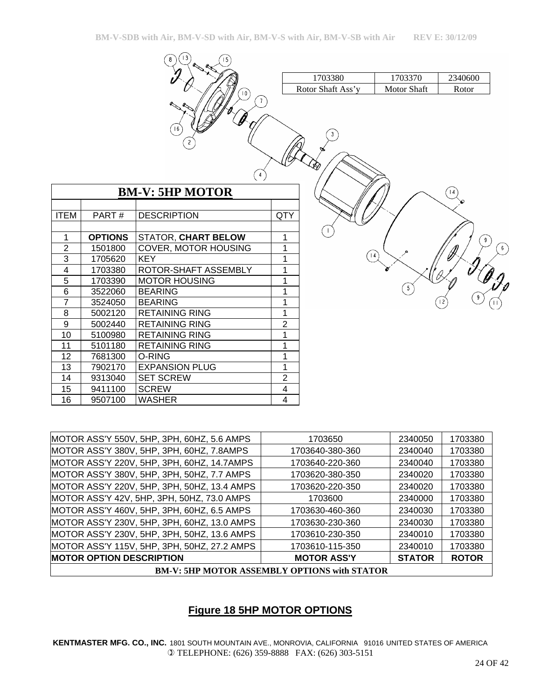|                |                | 3<br>8<br>15                               |                |                          |                    |                  |
|----------------|----------------|--------------------------------------------|----------------|--------------------------|--------------------|------------------|
|                |                |                                            |                | 1703380                  | 1703370            | 2340600          |
|                |                | $10^{\circ}$                               |                | Rotor Shaft Ass'y        | <b>Motor Shaft</b> | Rotor            |
|                |                | $\mathbf{7}$<br> 6                         |                | 3<br>Ю                   |                    |                  |
|                |                | $\left(4\right)$<br><b>BM-V: 5HP MOTOR</b> |                |                          |                    | 4                |
| <b>ITEM</b>    | PART#          | <b>DESCRIPTION</b>                         | QTY            |                          |                    |                  |
| $\mathbf{1}$   | <b>OPTIONS</b> | <b>STATOR, CHART BELOW</b>                 | $\mathbf{1}$   |                          |                    | $\left(9\right)$ |
| $\overline{2}$ | 1501800        | <b>COVER, MOTOR HOUSING</b>                | 1              |                          |                    |                  |
| 3              | 1705620        | <b>KEY</b>                                 | 1              | $\left  4 \right\rangle$ |                    |                  |
| 4              | 1703380        | ROTOR-SHAFT ASSEMBLY                       | 1              |                          |                    |                  |
| $\overline{5}$ | 1703390        | <b>MOTOR HOUSING</b>                       | 1              |                          |                    |                  |
| 6              | 3522060        | <b>BEARING</b>                             | 1              |                          | 5                  |                  |
| $\overline{7}$ | 3524050        | <b>BEARING</b>                             | $\mathbf{1}$   |                          |                    |                  |
| $\bf 8$        | 5002120        | <b>RETAINING RING</b>                      | 1              |                          |                    |                  |
| $\overline{9}$ | 5002440        | <b>RETAINING RING</b>                      | $\overline{2}$ |                          |                    |                  |
| 10             | 5100980        | <b>RETAINING RING</b>                      | 1              |                          |                    |                  |
| 11             | 5101180        | <b>RETAINING RING</b>                      | 1              |                          |                    |                  |
| 12             | 7681300        | O-RING                                     | $\mathbf{1}$   |                          |                    |                  |
| 13             | 7902170        | <b>EXPANSION PLUG</b>                      | 1              |                          |                    |                  |
| 14             | 9313040        | <b>SET SCREW</b>                           | $\overline{2}$ |                          |                    |                  |
| 15             | 9411100        | <b>SCREW</b>                               | 4              |                          |                    |                  |
| 16             | 9507100        | <b>WASHER</b>                              | 4              |                          |                    |                  |

| <b>BM-V: 5HP MOTOR ASSEMBLY OPTIONS with STATOR</b> |                    |               |              |  |  |
|-----------------------------------------------------|--------------------|---------------|--------------|--|--|
| <b>MOTOR OPTION DESCRIPTION</b>                     | <b>MOTOR ASS'Y</b> | <b>STATOR</b> | <b>ROTOR</b> |  |  |
| MOTOR ASS'Y 115V, 5HP, 3PH, 50HZ, 27.2 AMPS         | 1703610-115-350    | 2340010       | 1703380      |  |  |
| MOTOR ASS'Y 230V, 5HP, 3PH, 50HZ, 13.6 AMPS         | 1703610-230-350    | 2340010       | 1703380      |  |  |
| MOTOR ASS'Y 230V, 5HP, 3PH, 60HZ, 13.0 AMPS         | 1703630-230-360    | 2340030       | 1703380      |  |  |
| MOTOR ASS'Y 460V, 5HP, 3PH, 60HZ, 6.5 AMPS          | 1703630-460-360    | 2340030       | 1703380      |  |  |
| MOTOR ASS'Y 42V, 5HP, 3PH, 50HZ, 73.0 AMPS          | 1703600            | 2340000       | 1703380      |  |  |
| MOTOR ASS'Y 220V, 5HP, 3PH, 50HZ, 13.4 AMPS         | 1703620-220-350    | 2340020       | 1703380      |  |  |
| MOTOR ASS'Y 380V, 5HP, 3PH, 50HZ, 7.7 AMPS          | 1703620-380-350    | 2340020       | 1703380      |  |  |
| MOTOR ASS'Y 220V, 5HP, 3PH, 60HZ, 14.7AMPS          | 1703640-220-360    | 2340040       | 1703380      |  |  |
| MOTOR ASS'Y 380V, 5HP, 3PH, 60HZ, 7.8AMPS           | 1703640-380-360    | 2340040       | 1703380      |  |  |
| MOTOR ASS'Y 550V, 5HP, 3PH, 60HZ, 5.6 AMPS          | 1703650            | 2340050       | 1703380      |  |  |
|                                                     |                    |               |              |  |  |

## **Figure 18 5HP MOTOR OPTIONS**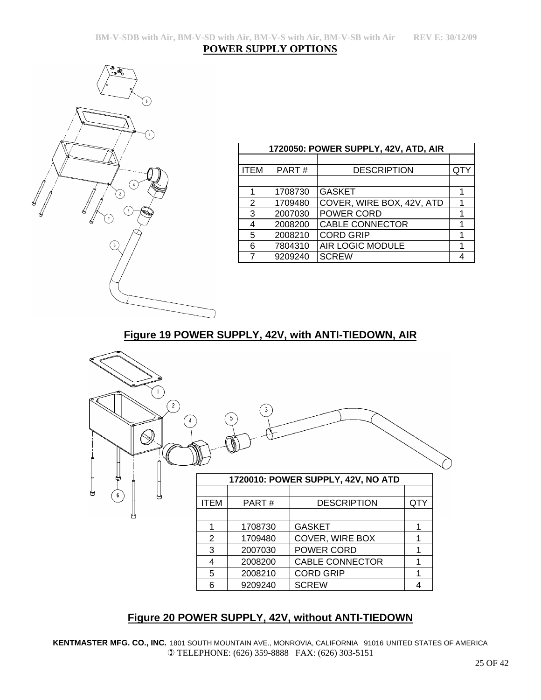#### **POWER SUPPLY OPTIONS**



| 1720050: POWER SUPPLY, 42V, ATD, AIR |         |                           |     |
|--------------------------------------|---------|---------------------------|-----|
|                                      |         |                           |     |
| <b>ITEM</b>                          | PART#   | <b>DESCRIPTION</b>        | QT۱ |
|                                      |         |                           |     |
| 1                                    | 1708730 | <b>GASKET</b>             |     |
| 2                                    | 1709480 | COVER, WIRE BOX, 42V, ATD | 1   |
| 3                                    | 2007030 | POWER CORD                |     |
| 4                                    | 2008200 | <b>CABLE CONNECTOR</b>    |     |
| 5                                    | 2008210 | <b>CORD GRIP</b>          |     |
| 6                                    | 7804310 | AIR LOGIC MODULE          |     |
| 7                                    | 9209240 | <b>SCREW</b>              |     |

# **Figure 19 POWER SUPPLY, 42V, with ANTI-TIEDOWN, AIR**



# **Figure 20 POWER SUPPLY, 42V, without ANTI-TIEDOWN**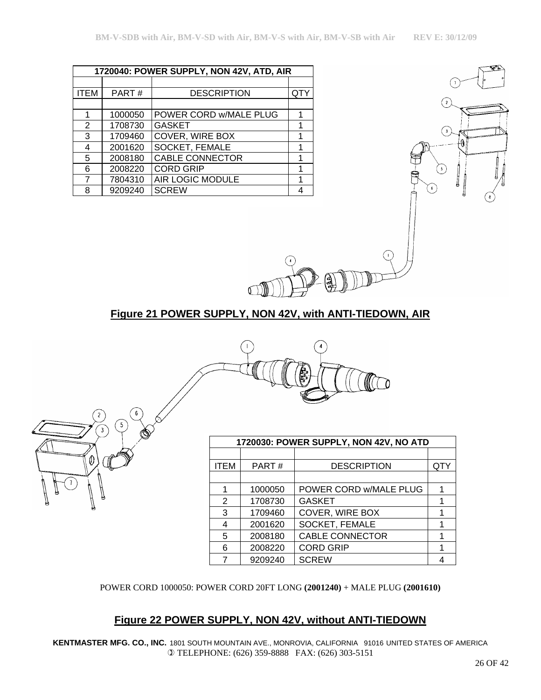|             | 1720040: POWER SUPPLY, NON 42V, ATD, AIR |                        |   |  |
|-------------|------------------------------------------|------------------------|---|--|
|             |                                          |                        |   |  |
| <b>ITEM</b> | PART#                                    | <b>DESCRIPTION</b>     |   |  |
|             |                                          |                        |   |  |
| 1           | 1000050                                  | POWER CORD w/MALE PLUG |   |  |
| 2           | 1708730                                  | <b>GASKET</b>          |   |  |
| 3           | 1709460                                  | COVER, WIRE BOX        |   |  |
| 4           | 2001620                                  | SOCKET, FEMALE         | 1 |  |
| 5           | 2008180                                  | <b>CABLE CONNECTOR</b> |   |  |
| 6           | 2008220                                  | <b>CORD GRIP</b>       |   |  |
| 7           | 7804310                                  | AIR LOGIC MODULE       |   |  |
| 8           | 9209240                                  | <b>SCREW</b>           |   |  |

 $\emptyset$ 



## **Figure 21 POWER SUPPLY, NON 42V, with ANTI-TIEDOWN, AIR**



| 1720030: POWER SUPPLY, NON 42V, NO ATD |         |                        |     |
|----------------------------------------|---------|------------------------|-----|
|                                        |         |                        |     |
| <b>ITEM</b>                            | PART#   | <b>DESCRIPTION</b>     | QTY |
|                                        |         |                        |     |
|                                        | 1000050 | POWER CORD w/MALE PLUG |     |
| 2                                      | 1708730 | <b>GASKET</b>          |     |
| 3                                      | 1709460 | COVER, WIRE BOX        |     |
| 4                                      | 2001620 | SOCKET, FEMALE         |     |
| 5                                      | 2008180 | <b>CABLE CONNECTOR</b> |     |
| 6                                      | 2008220 | <b>CORD GRIP</b>       |     |
|                                        | 9209240 | <b>SCREW</b>           |     |

POWER CORD 1000050: POWER CORD 20FT LONG **(2001240)** + MALE PLUG **(2001610)**

## **Figure 22 POWER SUPPLY, NON 42V, without ANTI-TIEDOWN**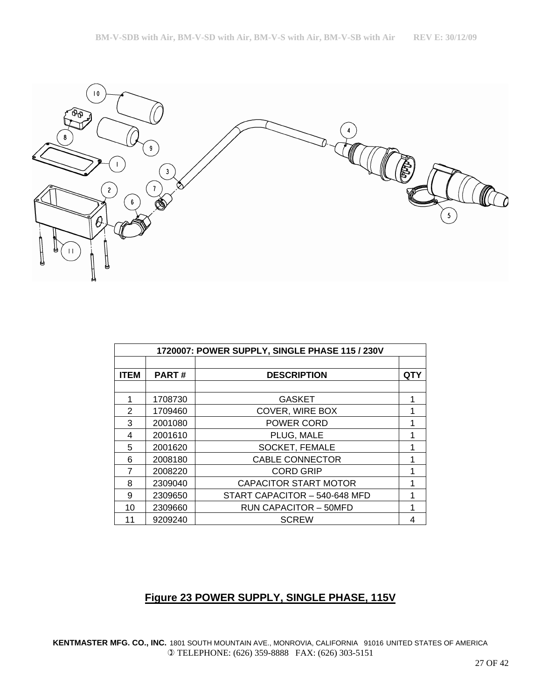

| 1720007: POWER SUPPLY, SINGLE PHASE 115 / 230V |              |                               |            |
|------------------------------------------------|--------------|-------------------------------|------------|
|                                                |              |                               |            |
| <b>ITEM</b>                                    | <b>PART#</b> | <b>DESCRIPTION</b>            | <b>QTY</b> |
|                                                |              |                               |            |
| 1                                              | 1708730      | <b>GASKET</b>                 |            |
| $\overline{2}$                                 | 1709460      | COVER, WIRE BOX               |            |
| 3                                              | 2001080      | POWER CORD                    |            |
| 4                                              | 2001610      | PLUG, MALE                    |            |
| 5                                              | 2001620      | <b>SOCKET, FEMALE</b>         |            |
| 6                                              | 2008180      | <b>CABLE CONNECTOR</b>        |            |
| 7                                              | 2008220      | <b>CORD GRIP</b>              |            |
| 8                                              | 2309040      | <b>CAPACITOR START MOTOR</b>  |            |
| 9                                              | 2309650      | START CAPACITOR - 540-648 MFD |            |
| 10                                             | 2309660      | <b>RUN CAPACITOR - 50MFD</b>  |            |
| 11                                             | 9209240      | <b>SCREW</b>                  | 4          |

# **Figure 23 POWER SUPPLY, SINGLE PHASE, 115V**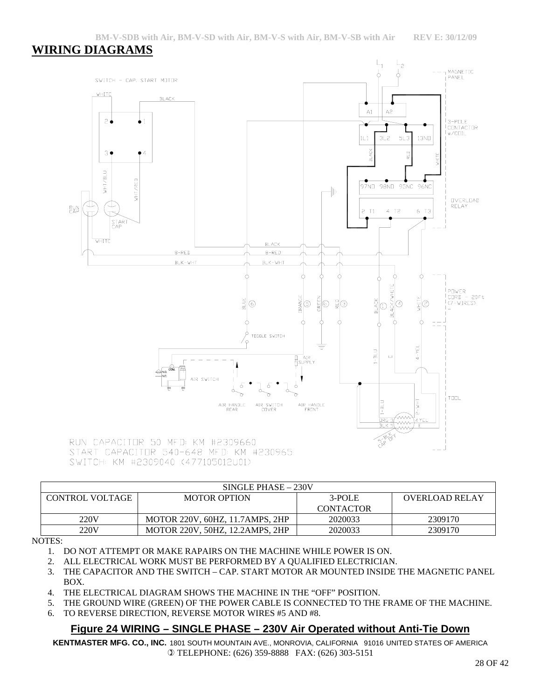# **WIRING DIAGRAMS**



SINGLE PHASE – 230V CONTROL VOLTAGE MOTOR OPTION 3-POLE CONTACTOR OVERLOAD RELAY 220V MOTOR 220V, 60HZ, 11.7AMPS, 2HP 2020033 2309170 220V MOTOR 220V, 50HZ, 12.2AMPS, 2HP 2020033 2309170

#### NOTES:

- 1. DO NOT ATTEMPT OR MAKE RAPAIRS ON THE MACHINE WHILE POWER IS ON.
- 2. ALL ELECTRICAL WORK MUST BE PERFORMED BY A QUALIFIED ELECTRICIAN.
- 3. THE CAPACITOR AND THE SWITCH CAP. START MOTOR AR MOUNTED INSIDE THE MAGNETIC PANEL BOX.
- 4. THE ELECTRICAL DIAGRAM SHOWS THE MACHINE IN THE "OFF" POSITION.
- 5. THE GROUND WIRE (GREEN) OF THE POWER CABLE IS CONNECTED TO THE FRAME OF THE MACHINE.
- 6. TO REVERSE DIRECTION, REVERSE MOTOR WIRES #5 AND #8.

## **Figure 24 WIRING – SINGLE PHASE – 230V Air Operated without Anti-Tie Down**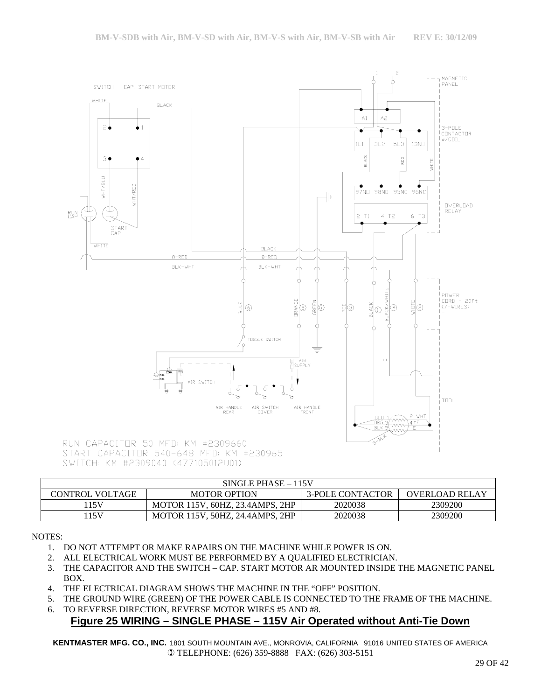

START CAPACITOR 540-648 MFD: KM #230965 SWITCH: KM #2309040 (477105012U01)

| SINGLE PHASE - 115V    |                                 |                         |                       |
|------------------------|---------------------------------|-------------------------|-----------------------|
| <b>CONTROL VOLTAGE</b> | <b>MOTOR OPTION</b>             | <b>3-POLE CONTACTOR</b> | <b>OVERLOAD RELAY</b> |
| 15V                    | MOTOR 115V, 60HZ, 23.4AMPS, 2HP | 2020038                 | 2309200               |
| .15V                   | MOTOR 115V, 50HZ, 24.4AMPS, 2HP | 2020038                 | 2309200               |

NOTES:

- 1. DO NOT ATTEMPT OR MAKE RAPAIRS ON THE MACHINE WHILE POWER IS ON.
- 2. ALL ELECTRICAL WORK MUST BE PERFORMED BY A QUALIFIED ELECTRICIAN.
- 3. THE CAPACITOR AND THE SWITCH CAP. START MOTOR AR MOUNTED INSIDE THE MAGNETIC PANEL BOX.
- 4. THE ELECTRICAL DIAGRAM SHOWS THE MACHINE IN THE "OFF" POSITION.
- 5. THE GROUND WIRE (GREEN) OF THE POWER CABLE IS CONNECTED TO THE FRAME OF THE MACHINE.
- 6. TO REVERSE DIRECTION, REVERSE MOTOR WIRES #5 AND #8.

# **Figure 25 WIRING – SINGLE PHASE – 115V Air Operated without Anti-Tie Down**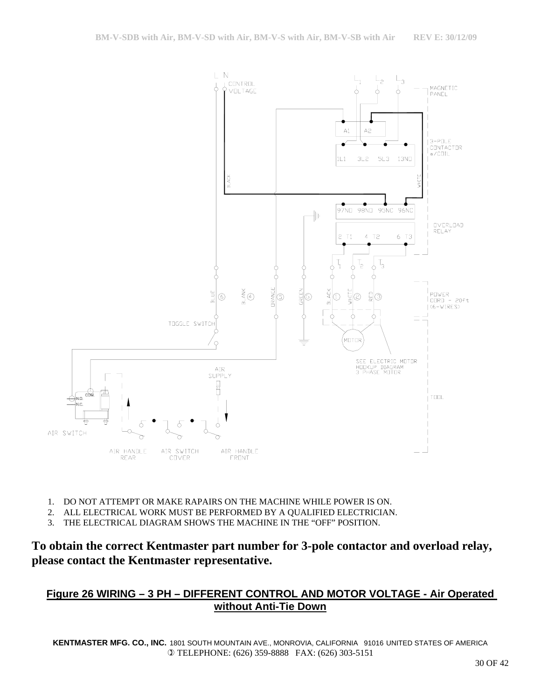

- 1. DO NOT ATTEMPT OR MAKE RAPAIRS ON THE MACHINE WHILE POWER IS ON.
- 2. ALL ELECTRICAL WORK MUST BE PERFORMED BY A QUALIFIED ELECTRICIAN.
- 3. THE ELECTRICAL DIAGRAM SHOWS THE MACHINE IN THE "OFF" POSITION.

# **Figure 26 WIRING – 3 PH – DIFFERENT CONTROL AND MOTOR VOLTAGE - Air Operated without Anti-Tie Down**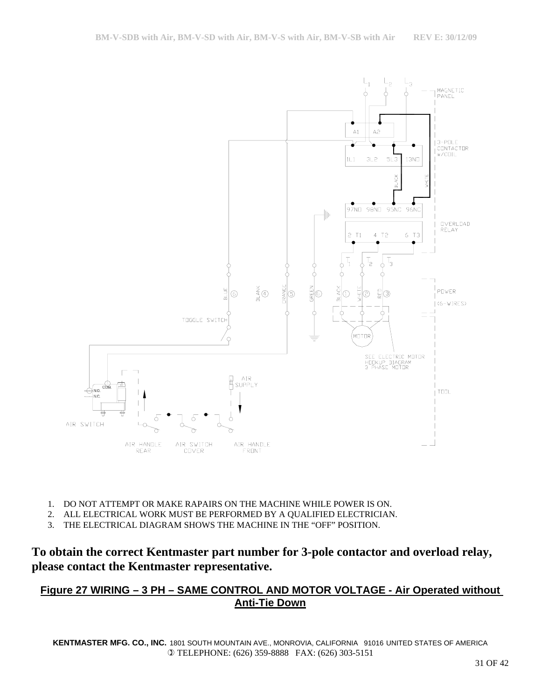

- 1. DO NOT ATTEMPT OR MAKE RAPAIRS ON THE MACHINE WHILE POWER IS ON.
- 2. ALL ELECTRICAL WORK MUST BE PERFORMED BY A QUALIFIED ELECTRICIAN.
- 3. THE ELECTRICAL DIAGRAM SHOWS THE MACHINE IN THE "OFF" POSITION.

## **Figure 27 WIRING – 3 PH – SAME CONTROL AND MOTOR VOLTAGE - Air Operated without Anti-Tie Down**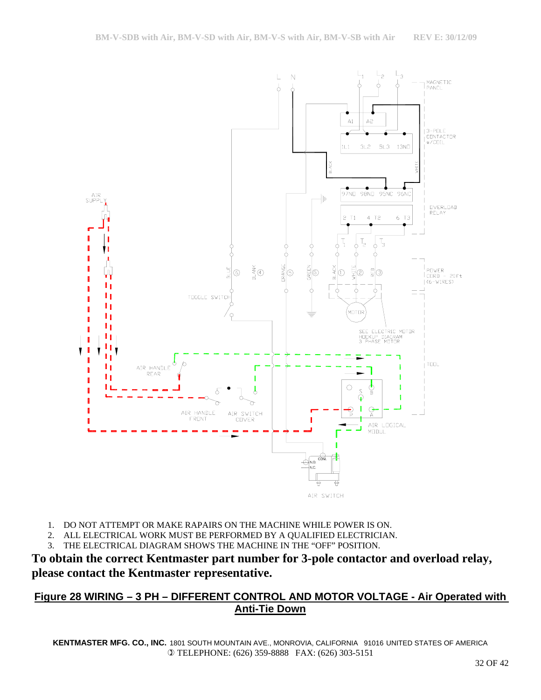

- 1. DO NOT ATTEMPT OR MAKE RAPAIRS ON THE MACHINE WHILE POWER IS ON.
- 2. ALL ELECTRICAL WORK MUST BE PERFORMED BY A QUALIFIED ELECTRICIAN.
- 3. THE ELECTRICAL DIAGRAM SHOWS THE MACHINE IN THE "OFF" POSITION.

# **Figure 28 WIRING – 3 PH – DIFFERENT CONTROL AND MOTOR VOLTAGE - Air Operated with Anti-Tie Down**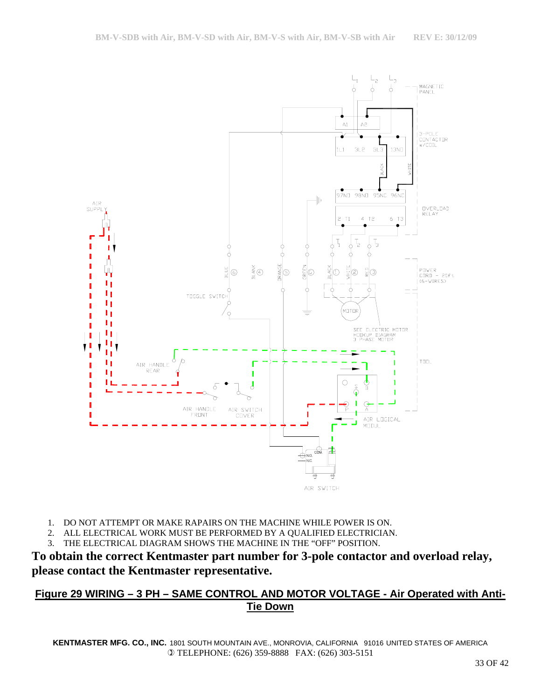

- 1. DO NOT ATTEMPT OR MAKE RAPAIRS ON THE MACHINE WHILE POWER IS ON.
- 2. ALL ELECTRICAL WORK MUST BE PERFORMED BY A QUALIFIED ELECTRICIAN.
- 3. THE ELECTRICAL DIAGRAM SHOWS THE MACHINE IN THE "OFF" POSITION.

## **Figure 29 WIRING – 3 PH – SAME CONTROL AND MOTOR VOLTAGE - Air Operated with Anti-Tie Down**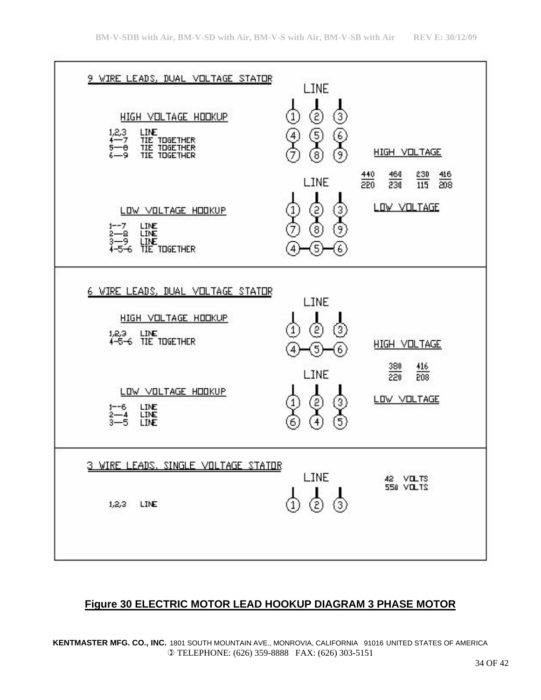

## **Figure 30 ELECTRIC MOTOR LEAD HOOKUP DIAGRAM 3 PHASE MOTOR**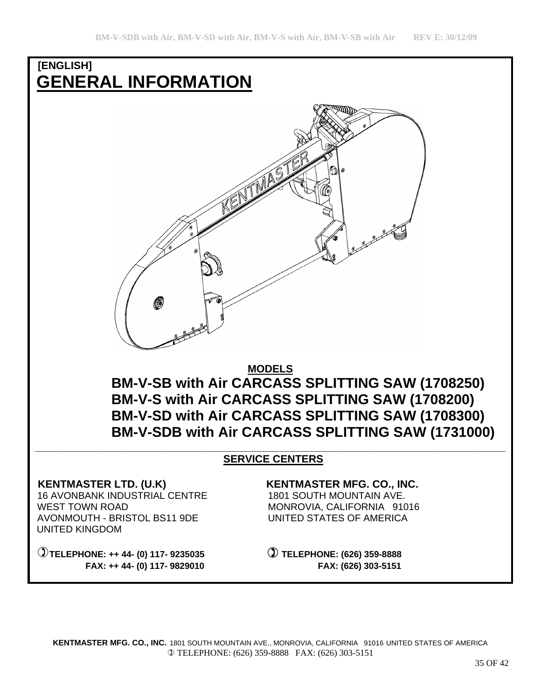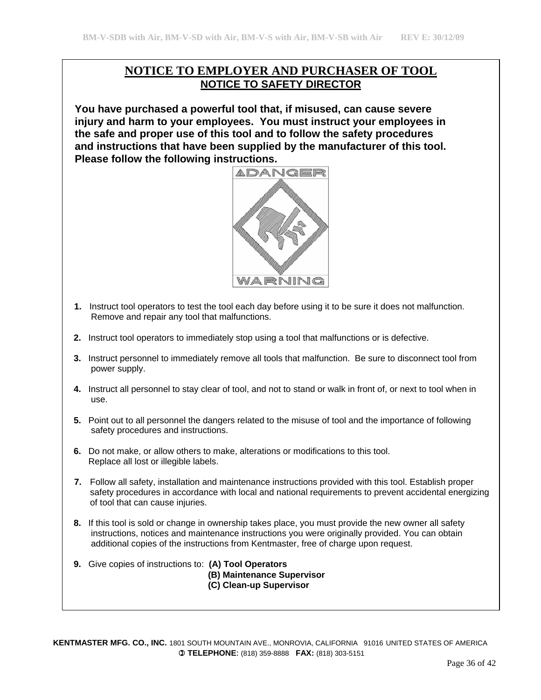## **NOTICE TO EMPLOYER AND PURCHASER OF TOOL NOTICE TO SAFETY DIRECTOR**

 **You have purchased a powerful tool that, if misused, can cause severe injury and harm to your employees. You must instruct your employees in the safe and proper use of this tool and to follow the safety procedures and instructions that have been supplied by the manufacturer of this tool. Please follow the following instructions.** 



- **1.** Instruct tool operators to test the tool each day before using it to be sure it does not malfunction. Remove and repair any tool that malfunctions.
- **2.** Instruct tool operators to immediately stop using a tool that malfunctions or is defective.
- **3.** Instruct personnel to immediately remove all tools that malfunction. Be sure to disconnect tool from power supply.
- **4.** Instruct all personnel to stay clear of tool, and not to stand or walk in front of, or next to tool when in use.
- **5.** Point out to all personnel the dangers related to the misuse of tool and the importance of following safety procedures and instructions.
- **6.** Do not make, or allow others to make, alterations or modifications to this tool. Replace all lost or illegible labels.
- **7.** Follow all safety, installation and maintenance instructions provided with this tool. Establish proper safety procedures in accordance with local and national requirements to prevent accidental energizing of tool that can cause injuries.
- **8.** If this tool is sold or change in ownership takes place, you must provide the new owner all safety instructions, notices and maintenance instructions you were originally provided. You can obtain additional copies of the instructions from Kentmaster, free of charge upon request.
- **9.** Give copies of instructions to: **(A) Tool Operators (B) Maintenance Supervisor (C) Clean-up Supervisor**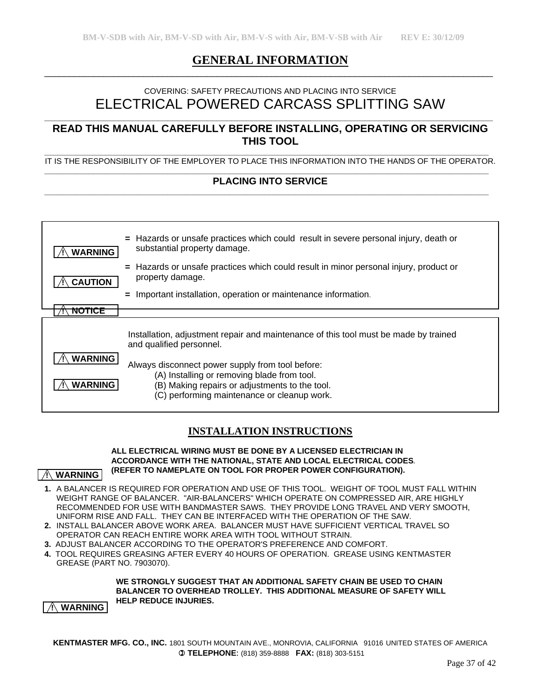## **GENERAL INFORMATION**  $\_$  , and the set of the set of the set of the set of the set of the set of the set of the set of the set of the set of the set of the set of the set of the set of the set of the set of the set of the set of the set of th

## COVERING: SAFETY PRECAUTIONS AND PLACING INTO SERVICE ELECTRICAL POWERED CARCASS SPLITTING SAW

## **READ THIS MANUAL CAREFULLY BEFORE INSTALLING, OPERATING OR SERVICING THIS TOOL**

**\_\_\_\_\_\_\_\_\_\_\_\_\_\_\_\_\_\_\_\_\_\_\_\_\_\_\_\_\_\_\_\_\_\_\_\_\_\_\_\_\_\_\_\_\_\_\_\_\_\_\_\_\_\_\_\_\_\_\_\_\_\_\_\_\_\_\_\_\_\_\_\_\_\_\_\_\_\_\_\_\_\_\_\_\_\_\_\_\_\_\_** 

**\_\_\_\_\_\_\_\_\_\_\_\_\_\_\_\_\_\_\_\_\_\_\_\_\_\_\_\_\_\_\_\_\_\_\_\_\_\_\_\_\_\_\_\_\_\_\_\_\_\_\_\_\_\_\_\_\_\_\_\_\_\_\_\_\_\_\_\_\_\_\_\_\_\_\_\_\_\_\_\_\_\_\_\_\_\_\_\_\_\_\_\_\_\_\_\_\_\_\_\_\_**  IT IS THE RESPONSIBILITY OF THE EMPLOYER TO PLACE THIS INFORMATION INTO THE HANDS OF THE OPERATOR. **\_\_\_\_\_\_\_\_\_\_\_\_\_\_\_\_\_\_\_\_\_\_\_\_\_\_\_\_\_\_\_\_\_\_\_\_\_\_\_\_\_\_\_\_\_\_\_\_\_\_\_\_\_\_\_\_\_\_\_\_\_\_\_\_\_\_\_\_\_\_\_\_\_\_\_\_\_\_\_\_\_\_\_\_\_\_\_\_\_\_\_\_\_\_\_\_\_\_\_\_\_** 

#### PLACING INTO SERVICE

| <b>WARNING</b>                   | $=$ Hazards or unsafe practices which could result in severe personal injury, death or<br>substantial property damage.                                                                           |
|----------------------------------|--------------------------------------------------------------------------------------------------------------------------------------------------------------------------------------------------|
| <b>CAUTION</b>                   | = Hazards or unsafe practices which could result in minor personal injury, product or<br>property damage.                                                                                        |
|                                  | Important installation, operation or maintenance information.<br>$=$                                                                                                                             |
| NOTICE                           |                                                                                                                                                                                                  |
|                                  | Installation, adjustment repair and maintenance of this tool must be made by trained<br>and qualified personnel.                                                                                 |
| <b>WARNING</b><br><b>WARNING</b> | Always disconnect power supply from tool before:<br>(A) Installing or removing blade from tool.<br>(B) Making repairs or adjustments to the tool.<br>(C) performing maintenance or cleanup work. |

## **INSTALLATION INSTRUCTIONS**

#### **ALL ELECTRICAL WIRING MUST BE DONE BY A LICENSED ELECTRICIAN IN ACCORDANCE WITH THE NATIONAL, STATE AND LOCAL ELECTRICAL CODES***.*  **(REFER TO NAMEPLATE ON TOOL FOR PROPER POWER CONFIGURATION).**

- **WARNING**
- **1.** A BALANCER IS REQUIRED FOR OPERATION AND USE OF THIS TOOL. WEIGHT OF TOOL MUST FALL WITHIN WEIGHT RANGE OF BALANCER. "AIR-BALANCERS" WHICH OPERATE ON COMPRESSED AIR, ARE HIGHLY RECOMMENDED FOR USE WITH BANDMASTER SAWS. THEY PROVIDE LONG TRAVEL AND VERY SMOOTH, UNIFORM RISE AND FALL. THEY CAN BE INTERFACED WITH THE OPERATION OF THE SAW.
- **2.** INSTALL BALANCER ABOVE WORK AREA. BALANCER MUST HAVE SUFFICIENT VERTICAL TRAVEL SO OPERATOR CAN REACH ENTIRE WORK AREA WITH TOOL WITHOUT STRAIN.
- **3.** ADJUST BALANCER ACCORDING TO THE OPERATOR'S PREFERENCE AND COMFORT.
- **4.** TOOL REQUIRES GREASING AFTER EVERY 40 HOURS OF OPERATION. GREASE USING KENTMASTER GREASE (PART NO. 7903070).

#### **WE STRONGLY SUGGEST THAT AN ADDITIONAL SAFETY CHAIN BE USED TO CHAIN BALANCER TO OVERHEAD TROLLEY. THIS ADDITIONAL MEASURE OF SAFETY WILL HELP REDUCE INJURIES.**

 **! WARNING**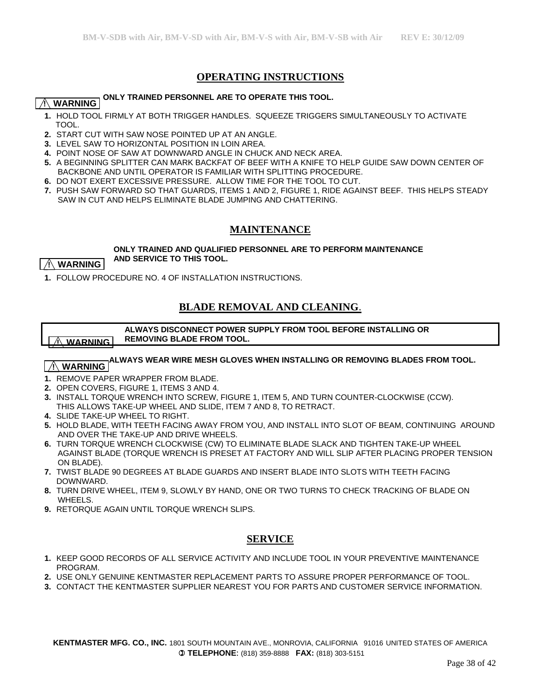## **OPERATING INSTRUCTIONS**

#### **ONLY TRAINED PERSONNEL ARE TO OPERATE THIS TOOL.**

## **! WARNING**

- **1.** HOLD TOOL FIRMLY AT BOTH TRIGGER HANDLES. SQUEEZE TRIGGERS SIMULTANEOUSLY TO ACTIVATE TOOL.
- **2.** START CUT WITH SAW NOSE POINTED UP AT AN ANGLE.
- **3.** LEVEL SAW TO HORIZONTAL POSITION IN LOIN AREA.
- **4.** POINT NOSE OF SAW AT DOWNWARD ANGLE IN CHUCK AND NECK AREA.
- **5.** A BEGINNING SPLITTER CAN MARK BACKFAT OF BEEF WITH A KNIFE TO HELP GUIDE SAW DOWN CENTER OF BACKBONE AND UNTIL OPERATOR IS FAMILIAR WITH SPLITTING PROCEDURE.
- **6.** DO NOT EXERT EXCESSIVE PRESSURE. ALLOW TIME FOR THE TOOL TO CUT.
- **7.** PUSH SAW FORWARD SO THAT GUARDS, ITEMS 1 AND 2, FIGURE 1, RIDE AGAINST BEEF. THIS HELPS STEADY SAW IN CUT AND HELPS ELIMINATE BLADE JUMPING AND CHATTERING.

#### **MAINTENANCE**

#### **ONLY TRAINED AND QUALIFIED PERSONNEL ARE TO PERFORM MAINTENANCE AND SERVICE TO THIS TOOL.**

#### $\land$  WARNING  $\mid$

**1.** FOLLOW PROCEDURE NO. 4 OF INSTALLATION INSTRUCTIONS.

## **BLADE REMOVAL AND CLEANING**.

 **ALWAYS DISCONNECT POWER SUPPLY FROM TOOL BEFORE INSTALLING OR REMOVING BLADE FROM TOOL. ! WARNING**

## **ALWAYS WEAR WIRE MESH GLOVES WHEN INSTALLING OR REMOVING BLADES FROM TOOL.**

#### **! WARNING**

- **1.** REMOVE PAPER WRAPPER FROM BLADE.
- **2.** OPEN COVERS, FIGURE 1, ITEMS 3 AND 4.
- **3.** INSTALL TORQUE WRENCH INTO SCREW, FIGURE 1, ITEM 5, AND TURN COUNTER-CLOCKWISE (CCW). THIS ALLOWS TAKE-UP WHEEL AND SLIDE, ITEM 7 AND 8, TO RETRACT.
- **4.** SLIDE TAKE-UP WHEEL TO RIGHT.
- **5.** HOLD BLADE, WITH TEETH FACING AWAY FROM YOU, AND INSTALL INTO SLOT OF BEAM, CONTINUING AROUND AND OVER THE TAKE-UP AND DRIVE WHEELS.
- **6.** TURN TORQUE WRENCH CLOCKWISE (CW) TO ELIMINATE BLADE SLACK AND TIGHTEN TAKE-UP WHEEL AGAINST BLADE (TORQUE WRENCH IS PRESET AT FACTORY AND WILL SLIP AFTER PLACING PROPER TENSION ON BLADE).
- **7.** TWIST BLADE 90 DEGREES AT BLADE GUARDS AND INSERT BLADE INTO SLOTS WITH TEETH FACING DOWNWARD.
- **8.** TURN DRIVE WHEEL, ITEM 9, SLOWLY BY HAND, ONE OR TWO TURNS TO CHECK TRACKING OF BLADE ON WHEELS.
- **9.** RETORQUE AGAIN UNTIL TORQUE WRENCH SLIPS.

#### **SERVICE**

- **1.** KEEP GOOD RECORDS OF ALL SERVICE ACTIVITY AND INCLUDE TOOL IN YOUR PREVENTIVE MAINTENANCE PROGRAM.
- **2.** USE ONLY GENUINE KENTMASTER REPLACEMENT PARTS TO ASSURE PROPER PERFORMANCE OF TOOL.
- **3.** CONTACT THE KENTMASTER SUPPLIER NEAREST YOU FOR PARTS AND CUSTOMER SERVICE INFORMATION.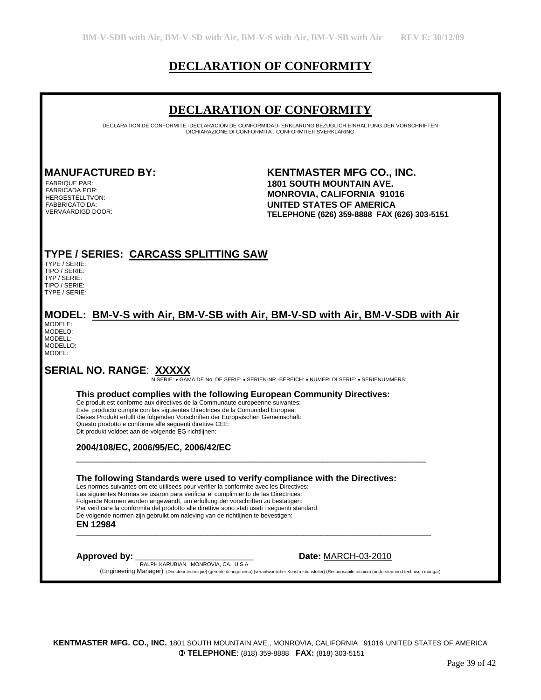# **DECLARATION OF CONFORMITY**

## **DECLARATION OF CONFORMITY**

DECLARATION DE CONFORMITE -DECLARACION DE CONFORMIDAD- ERKLARUNG BEZUGLICH EINHALTUNG DER VORSCHRIFTEN DICHIARAZIONE DI CONFORMITA . CONFORMITEITSVERKLARING

FABRIQUE PAR: FABRICADA POR: HERGESTELLTVON: FABBRICATO DA: VERVAARDIGD DOOR:

**MANUFACTURED BY: KENTMASTER MFG CO., INC. 1801 SOUTH MOUNTAIN AVE. MONROVIA, CALIFORNIA 91016 UNITED STATES OF AMERICA TELEPHONE (626) 359-8888 FAX (626) 303-5151** 

## **TYPE / SERIES: CARCASS SPLITTING SAW**

TYPE / SERIE: TIPO / SERIE: TYP / SERIE: TIPO / SERIE: TYPE / SERIE:

# **MODEL: BM-V-S with Air, BM-V-SB with Air, BM-V-SD with Air, BM-V-SDB with Air**

| MODEI E <sup>.</sup> |
|----------------------|
| MODELO:              |
| MODELL:              |
| MODELLO:             |
| MODEL:               |
|                      |

**SERIAL NO. RANGE**: **XXXXX** N SERIE: • GAMA DE No. DE SERIE: • SERIEN-NR.-BEREICH: • NUMERI DI SERIE: • SERIENUMMERS:

#### **This product complies with the following European Community Directives:**

Ce produit est conforme aux directives de la Communaute europeenne suivantes: Este producto cumple con las siguientes Directrices de la Comunidad Europea: Dieses Produkt erfullt die folgenden Vorschriften der Europaischen Gemeinschaft: Questo prodotto e conforme alle seguenti direttive CEE: Dit produkt voldoet aan de volgende EG-richtlijnen:

#### **2004/108/EC, 2006/95/EC, 2006/42/EC**

#### **The following Standards were used to verify compliance with the Directives:**

\_\_\_\_\_\_\_\_\_\_\_\_\_\_\_\_\_\_\_\_\_\_\_\_\_\_\_\_\_\_\_\_\_\_\_\_\_\_\_\_\_\_\_\_\_\_\_\_\_\_\_\_\_\_\_\_\_\_\_\_\_\_\_\_\_\_\_\_\_\_\_

**\_\_\_\_\_\_\_\_\_\_\_\_\_\_\_\_\_\_\_\_\_\_\_\_\_\_\_\_\_\_\_\_\_\_\_\_\_\_\_\_\_\_\_\_\_\_\_\_\_\_\_\_\_\_\_\_\_\_\_\_\_\_\_\_\_\_\_\_\_\_\_\_\_\_\_\_\_\_\_\_\_\_\_\_\_\_\_\_\_\_\_\_\_\_\_\_\_\_\_\_\_\_\_** 

 Les normes suivantes ont ete utilisees pour verifier la conformite avec les Directives: Las siguientes Normas se usaron para verificar el cumplimiento de las Directrices: Folgende Normen wurden angewandt, um erfullung der vorschriften zu bestatigen: Per verificare la conformita del prodotto alle direttive sono stati usati i seguenti standard: De volgende normen zijn gebruikt om naleving van de richtlijnen te bevestigen:

#### **EN 12984**

**Approved by: \_\_\_\_\_\_\_\_\_\_\_\_\_\_\_\_\_\_\_\_\_\_\_\_ Date:** MARCH-03-2010 RALPH KARUBIAN MONROVIA, CA. U.S.A

(Engineering Manager) (Directeur technique) (gerente de ingenieria) (verantwortlicher Konstruktionsleiter) (Responsabile tecnico) (ondersteunend technisch mangar)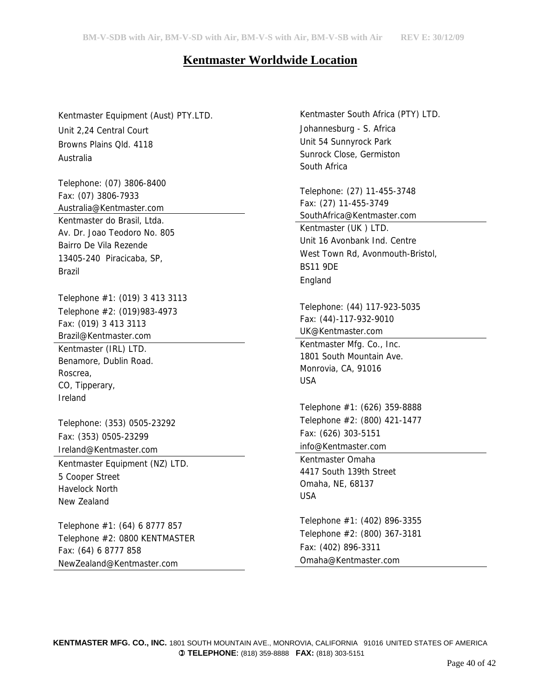# **Kentmaster Worldwide Location**

Kentmaster Equipment (Aust) PTY.LTD. Unit 2,24 Central Court Browns Plains Qld. 4118 Australia

Telephone: (07) 3806-8400 Fax: (07) 3806-7933 Australia@Kentmaster.com Kentmaster do Brasil, Ltda. Av. Dr. Joao Teodoro No. 805 Bairro De Vila Rezende 13405-240 Piracicaba, SP, Brazil

Telephone #1: (019) 3 413 3113 Telephone #2: (019)983-4973 Fax: (019) 3 413 3113 Brazil@Kentmaster.com Kentmaster (IRL) LTD. Benamore, Dublin Road. Roscrea, CO, Tipperary, Ireland

Telephone: (353) 0505-23292 Fax: (353) 0505-23299 Ireland@Kentmaster.com

Kentmaster Equipment (NZ) LTD. 5 Cooper Street Havelock North New Zealand

Telephone #1: (64) 6 8777 857 Telephone #2: 0800 KENTMASTER Fax: (64) 6 8777 858 NewZealand@Kentmaster.com

Kentmaster South Africa (PTY) LTD. Johannesburg - S. Africa Unit 54 Sunnyrock Park Sunrock Close, Germiston South Africa

Telephone: (27) 11-455-3748 Fax: (27) 11-455-3749 SouthAfrica@Kentmaster.com Kentmaster (UK ) LTD. Unit 16 Avonbank Ind. Centre West Town Rd, Avonmouth-Bristol, BS11 9DE England

Telephone: (44) 117-923-5035 Fax: (44)-117-932-9010 UK@Kentmaster.com

Kentmaster Mfg. Co., Inc. 1801 South Mountain Ave. Monrovia, CA, 91016 USA

Telephone #1: (626) 359-8888 Telephone #2: (800) 421-1477 Fax: (626) 303-5151 info@Kentmaster.com

Kentmaster Omaha 4417 South 139th Street Omaha, NE, 68137 USA

Telephone #1: (402) 896-3355 Telephone #2: (800) 367-3181 Fax: (402) 896-3311 Omaha@Kentmaster.com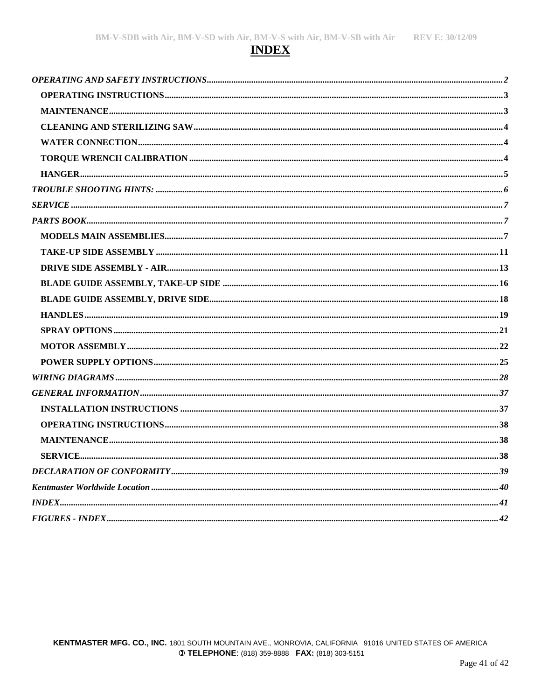# **INDEX**